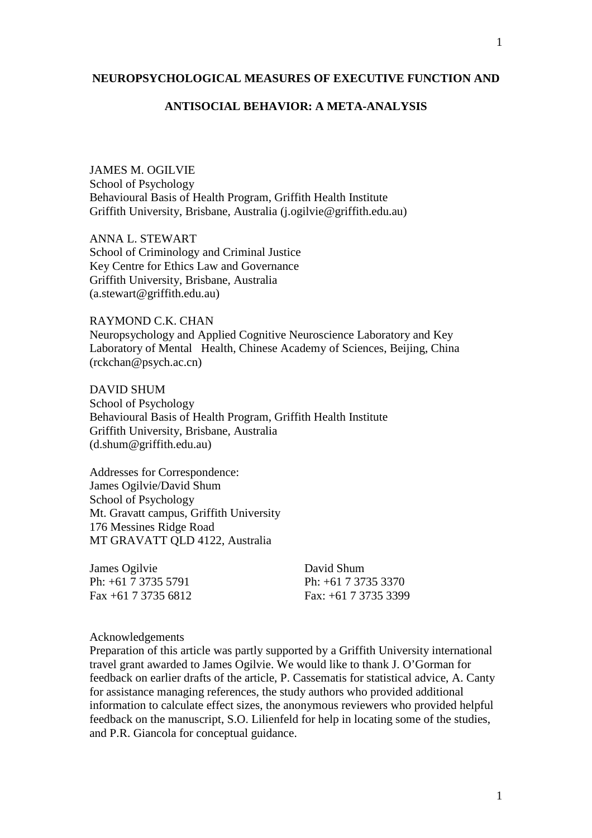## **NEUROPSYCHOLOGICAL MEASURES OF EXECUTIVE FUNCTION AND**

# **ANTISOCIAL BEHAVIOR: A META-ANALYSIS**

JAMES M. OGILVIE School of Psychology Behavioural Basis of Health Program, Griffith Health Institute Griffith University, Brisbane, Australia (j.ogilvie@griffith.edu.au)

ANNA L. STEWART School of Criminology and Criminal Justice Key Centre for Ethics Law and Governance Griffith University, Brisbane, Australia (a.stewart@griffith.edu.au)

RAYMOND C.K. CHAN Neuropsychology and Applied Cognitive Neuroscience Laboratory and Key Laboratory of Mental Health, Chinese Academy of Sciences, Beijing, China (rckchan@psych.ac.cn)

DAVID SHUM School of Psychology Behavioural Basis of Health Program, Griffith Health Institute Griffith University, Brisbane, Australia (d.shum@griffith.edu.au)

Addresses for Correspondence: James Ogilvie/David Shum School of Psychology Mt. Gravatt campus, Griffith University 176 Messines Ridge Road MT GRAVATT QLD 4122, Australia

James Ogilvie David Shum Ph: +61 7 3735 5791 Ph: +61 7 3735 3370

Fax: +61 7 3735 6812 Fax: +61 7 3735 3399

### Acknowledgements

Preparation of this article was partly supported by a Griffith University international travel grant awarded to James Ogilvie. We would like to thank J. O'Gorman for feedback on earlier drafts of the article, P. Cassematis for statistical advice, A. Canty for assistance managing references, the study authors who provided additional information to calculate effect sizes, the anonymous reviewers who provided helpful feedback on the manuscript, S.O. Lilienfeld for help in locating some of the studies, and P.R. Giancola for conceptual guidance.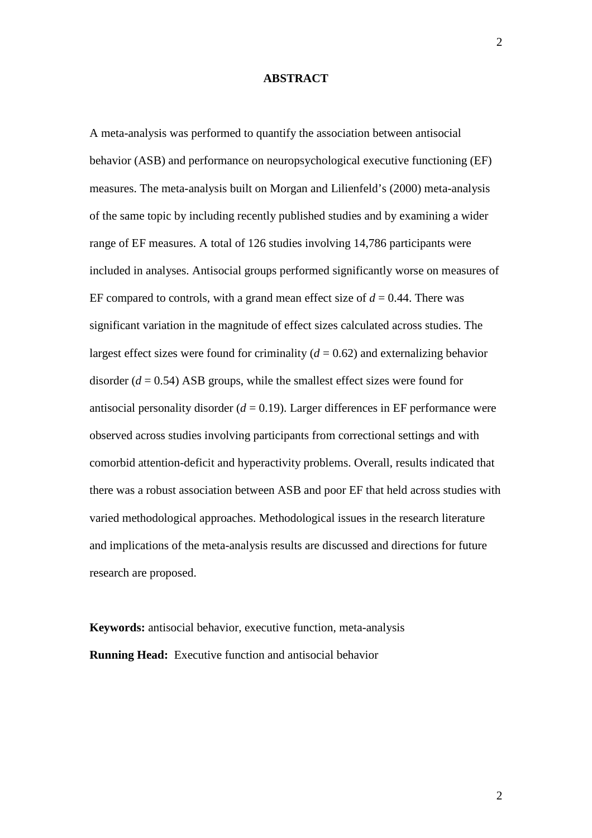#### **ABSTRACT**

A meta-analysis was performed to quantify the association between antisocial behavior (ASB) and performance on neuropsychological executive functioning (EF) measures. The meta-analysis built on Morgan and Lilienfeld's (2000) meta-analysis of the same topic by including recently published studies and by examining a wider range of EF measures. A total of 126 studies involving 14,786 participants were included in analyses. Antisocial groups performed significantly worse on measures of EF compared to controls, with a grand mean effect size of  $d = 0.44$ . There was significant variation in the magnitude of effect sizes calculated across studies. The largest effect sizes were found for criminality  $(d = 0.62)$  and externalizing behavior disorder  $(d = 0.54)$  ASB groups, while the smallest effect sizes were found for antisocial personality disorder  $(d = 0.19)$ . Larger differences in EF performance were observed across studies involving participants from correctional settings and with comorbid attention-deficit and hyperactivity problems. Overall, results indicated that there was a robust association between ASB and poor EF that held across studies with varied methodological approaches. Methodological issues in the research literature and implications of the meta-analysis results are discussed and directions for future research are proposed.

**Keywords:** antisocial behavior, executive function, meta-analysis **Running Head:** Executive function and antisocial behavior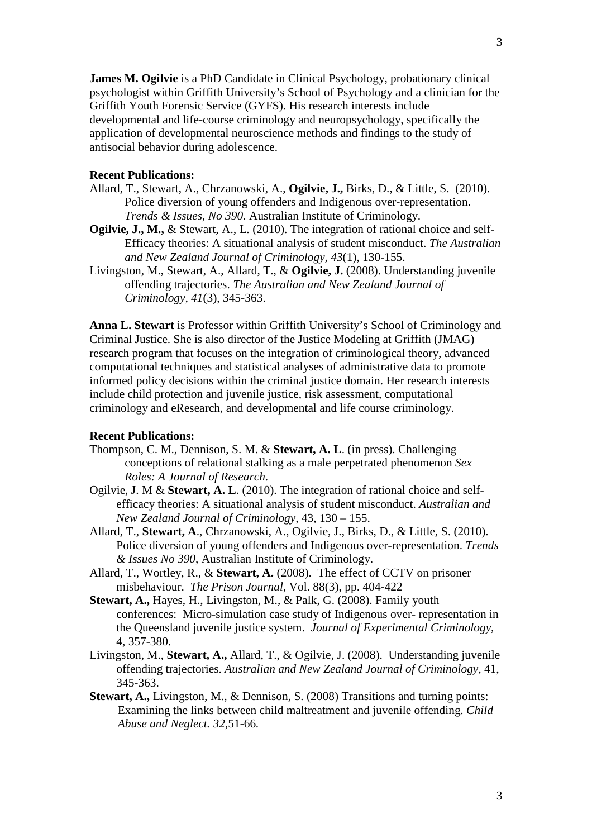**James M. Ogilvie** is a PhD Candidate in Clinical Psychology, probationary clinical psychologist within Griffith University's School of Psychology and a clinician for the Griffith Youth Forensic Service (GYFS). His research interests include developmental and life-course criminology and neuropsychology, specifically the application of developmental neuroscience methods and findings to the study of antisocial behavior during adolescence.

## **Recent Publications:**

- Allard, T., Stewart, A., Chrzanowski, A., **Ogilvie, J.,** Birks, D., & Little, S. (2010). Police diversion of young offenders and Indigenous over-representation. *Trends & Issues, No 390*. Australian Institute of Criminology.
- **Ogilvie, J., M.,** & Stewart, A., L. (2010). The integration of rational choice and self-Efficacy theories: A situational analysis of student misconduct. *The Australian and New Zealand Journal of Criminology, 43*(1), 130-155.
- Livingston, M., Stewart, A., Allard, T., & **Ogilvie, J.** (2008). Understanding juvenile offending trajectories. *The Australian and New Zealand Journal of Criminology, 41*(3), 345-363.

**Anna L. Stewart** is Professor within Griffith University's School of Criminology and Criminal Justice. She is also director of the Justice Modeling at Griffith (JMAG) research program that focuses on the integration of criminological theory, advanced computational techniques and statistical analyses of administrative data to promote informed policy decisions within the criminal justice domain. Her research interests include child protection and juvenile justice, risk assessment, computational criminology and eResearch, and developmental and life course criminology.

## **Recent Publications:**

- Thompson, C. M., Dennison, S. M. & **Stewart, A. L**. (in press). Challenging conceptions of relational stalking as a male perpetrated phenomenon *Sex Roles: A Journal of Research*.
- Ogilvie, J. M & **Stewart, A. L**. (2010). The integration of rational choice and selfefficacy theories: A situational analysis of student misconduct. *Australian and New Zealand Journal of Criminology,* 43, 130 – 155.
- Allard, T., **Stewart, A**., Chrzanowski, A., Ogilvie, J., Birks, D., & Little, S. (2010). Police diversion of young offenders and Indigenous over-representation. *Trends & Issues No 390*, Australian Institute of Criminology.
- Allard, T., Wortley, R., & **Stewart, A.** (2008). The effect of CCTV on prisoner misbehaviour. *The Prison Journal*, Vol. 88(3), pp. 404-422
- **Stewart, A.,** Hayes, H., Livingston, M., & Palk, G. (2008). Family youth conferences: Micro-simulation case study of Indigenous over- representation in the Queensland juvenile justice system. *Journal of Experimental Criminology,* 4, 357-380.
- Livingston, M., **Stewart, A.,** Allard, T., & Ogilvie, J. (2008). Understanding juvenile offending trajectories. *Australian and New Zealand Journal of Criminology,* 41, 345-363.
- **Stewart, A.,** Livingston, M., & Dennison, S. (2008) Transitions and turning points: Examining the links between child maltreatment and juvenile offending. *Child Abuse and Neglect. 32,*51-66*.*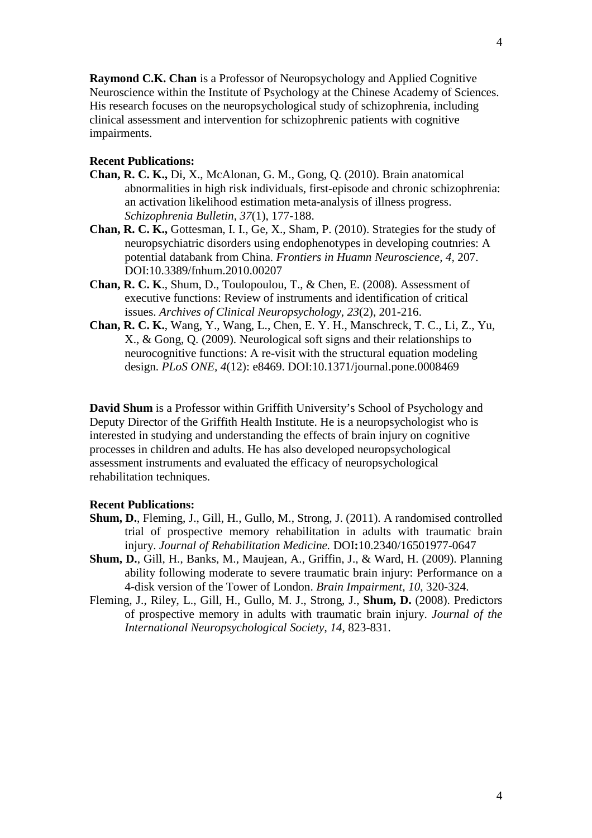**Raymond C.K. Chan** is a Professor of Neuropsychology and Applied Cognitive Neuroscience within the Institute of Psychology at the Chinese Academy of Sciences. His research focuses on the neuropsychological study of schizophrenia, including clinical assessment and intervention for schizophrenic patients with cognitive impairments.

# **Recent Publications:**

- **Chan, R. C. K.,** Di, X., McAlonan, G. M., Gong, Q. (2010). Brain anatomical abnormalities in high risk individuals, first-episode and chronic schizophrenia: an activation likelihood estimation meta-analysis of illness progress. *Schizophrenia Bulletin, 37*(1), 177-188.
- **Chan, R. C. K.,** Gottesman, I. I., Ge, X., Sham, P. (2010). Strategies for the study of neuropsychiatric disorders using endophenotypes in developing coutnries: A potential databank from China. *Frontiers in Huamn Neuroscience, 4,* 207. DOI:10.3389/fnhum.2010.00207
- **Chan, R. C. K**., Shum, D., Toulopoulou, T., & Chen, E. (2008). Assessment of executive functions: Review of instruments and identification of critical issues. *Archives of Clinical Neuropsychology, 23*(2), 201-216.
- **Chan, R. C. K.**, Wang, Y., Wang, L., Chen, E. Y. H., Manschreck, T. C., Li, Z., Yu, X., & Gong, Q. (2009). Neurological soft signs and their relationships to neurocognitive functions: A re-visit with the structural equation modeling design. *PLoS ONE, 4*(12): e8469. DOI:10.1371/journal.pone.0008469

**David Shum** is a Professor within Griffith University's School of Psychology and Deputy Director of the Griffith Health Institute. He is a neuropsychologist who is interested in studying and understanding the effects of brain injury on cognitive processes in children and adults. He has also developed neuropsychological assessment instruments and evaluated the efficacy of neuropsychological rehabilitation techniques.

## **Recent Publications:**

- **Shum, D.**, Fleming, J., Gill, H., Gullo, M., Strong, J. (2011). A randomised controlled trial of prospective memory rehabilitation in adults with traumatic brain injury. *Journal of Rehabilitation Medicine.* DOI**:**10.2340/16501977-0647
- **Shum, D.**, Gill, H., Banks, M., Maujean, A., Griffin, J., & Ward, H. (2009). Planning ability following moderate to severe traumatic brain injury: Performance on a 4-disk version of the Tower of London. *Brain Impairment*, *10*, 320-324.
- Fleming, J., Riley, L., Gill, H., Gullo, M. J., Strong, J., **Shum, D.** (2008). Predictors of prospective memory in adults with traumatic brain injury. *Journal of the International Neuropsychological Society*, *14*, 823-831.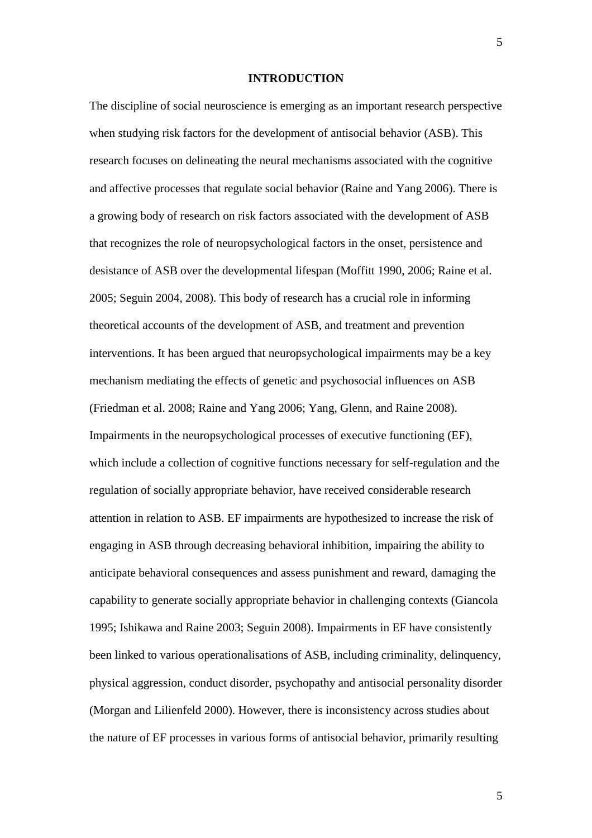### **INTRODUCTION**

The discipline of social neuroscience is emerging as an important research perspective when studying risk factors for the development of antisocial behavior (ASB). This research focuses on delineating the neural mechanisms associated with the cognitive and affective processes that regulate social behavior (Raine and Yang 2006). There is a growing body of research on risk factors associated with the development of ASB that recognizes the role of neuropsychological factors in the onset, persistence and desistance of ASB over the developmental lifespan (Moffitt 1990, 2006; Raine et al. 2005; Seguin 2004, 2008). This body of research has a crucial role in informing theoretical accounts of the development of ASB, and treatment and prevention interventions. It has been argued that neuropsychological impairments may be a key mechanism mediating the effects of genetic and psychosocial influences on ASB (Friedman et al. 2008; Raine and Yang 2006; Yang, Glenn, and Raine 2008). Impairments in the neuropsychological processes of executive functioning (EF), which include a collection of cognitive functions necessary for self-regulation and the regulation of socially appropriate behavior, have received considerable research attention in relation to ASB. EF impairments are hypothesized to increase the risk of engaging in ASB through decreasing behavioral inhibition, impairing the ability to anticipate behavioral consequences and assess punishment and reward, damaging the capability to generate socially appropriate behavior in challenging contexts (Giancola 1995; Ishikawa and Raine 2003; Seguin 2008). Impairments in EF have consistently been linked to various operationalisations of ASB, including criminality, delinquency, physical aggression, conduct disorder, psychopathy and antisocial personality disorder (Morgan and Lilienfeld 2000). However, there is inconsistency across studies about the nature of EF processes in various forms of antisocial behavior, primarily resulting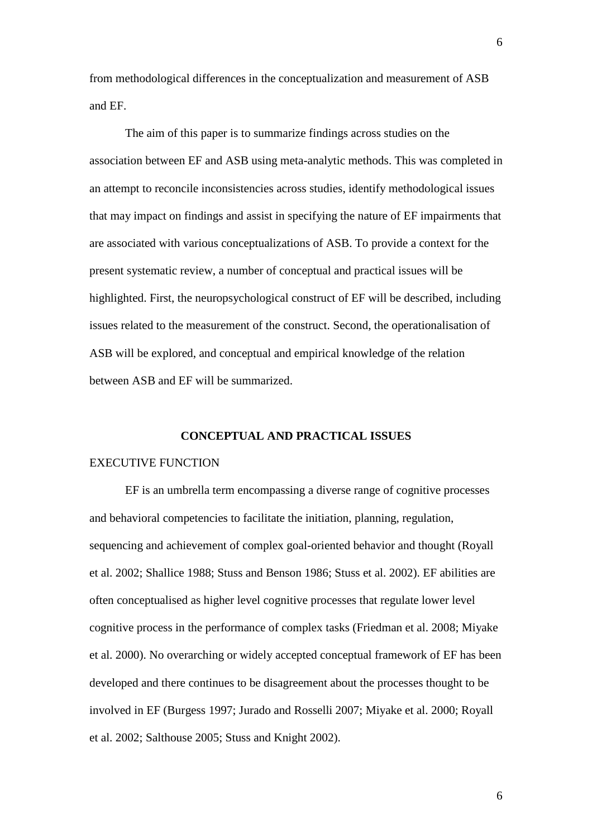from methodological differences in the conceptualization and measurement of ASB and EF.

The aim of this paper is to summarize findings across studies on the association between EF and ASB using meta-analytic methods. This was completed in an attempt to reconcile inconsistencies across studies, identify methodological issues that may impact on findings and assist in specifying the nature of EF impairments that are associated with various conceptualizations of ASB. To provide a context for the present systematic review, a number of conceptual and practical issues will be highlighted. First, the neuropsychological construct of EF will be described, including issues related to the measurement of the construct. Second, the operationalisation of ASB will be explored, and conceptual and empirical knowledge of the relation between ASB and EF will be summarized.

### **CONCEPTUAL AND PRACTICAL ISSUES**

## EXECUTIVE FUNCTION

EF is an umbrella term encompassing a diverse range of cognitive processes and behavioral competencies to facilitate the initiation, planning, regulation, sequencing and achievement of complex goal-oriented behavior and thought (Royall et al. 2002; Shallice 1988; Stuss and Benson 1986; Stuss et al. 2002). EF abilities are often conceptualised as higher level cognitive processes that regulate lower level cognitive process in the performance of complex tasks (Friedman et al. 2008; Miyake et al. 2000). No overarching or widely accepted conceptual framework of EF has been developed and there continues to be disagreement about the processes thought to be involved in EF (Burgess 1997; Jurado and Rosselli 2007; Miyake et al. 2000; Royall et al. 2002; Salthouse 2005; Stuss and Knight 2002).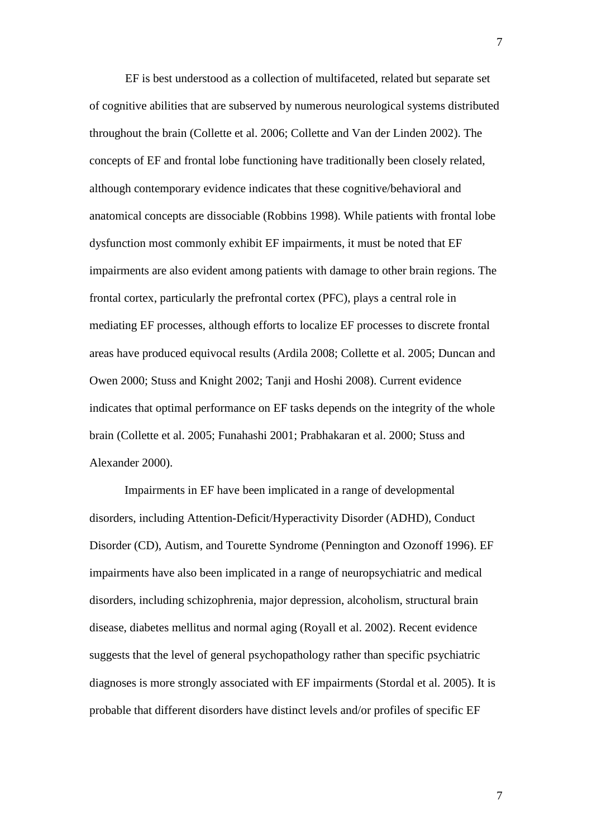EF is best understood as a collection of multifaceted, related but separate set of cognitive abilities that are subserved by numerous neurological systems distributed throughout the brain (Collette et al. 2006; Collette and Van der Linden 2002). The concepts of EF and frontal lobe functioning have traditionally been closely related, although contemporary evidence indicates that these cognitive/behavioral and anatomical concepts are dissociable (Robbins 1998). While patients with frontal lobe dysfunction most commonly exhibit EF impairments, it must be noted that EF impairments are also evident among patients with damage to other brain regions. The frontal cortex, particularly the prefrontal cortex (PFC), plays a central role in mediating EF processes, although efforts to localize EF processes to discrete frontal areas have produced equivocal results (Ardila 2008; Collette et al. 2005; Duncan and Owen 2000; Stuss and Knight 2002; Tanji and Hoshi 2008). Current evidence indicates that optimal performance on EF tasks depends on the integrity of the whole brain (Collette et al. 2005; Funahashi 2001; Prabhakaran et al. 2000; Stuss and Alexander 2000).

Impairments in EF have been implicated in a range of developmental disorders, including Attention-Deficit/Hyperactivity Disorder (ADHD), Conduct Disorder (CD), Autism, and Tourette Syndrome (Pennington and Ozonoff 1996). EF impairments have also been implicated in a range of neuropsychiatric and medical disorders, including schizophrenia, major depression, alcoholism, structural brain disease, diabetes mellitus and normal aging (Royall et al. 2002). Recent evidence suggests that the level of general psychopathology rather than specific psychiatric diagnoses is more strongly associated with EF impairments (Stordal et al. 2005). It is probable that different disorders have distinct levels and/or profiles of specific EF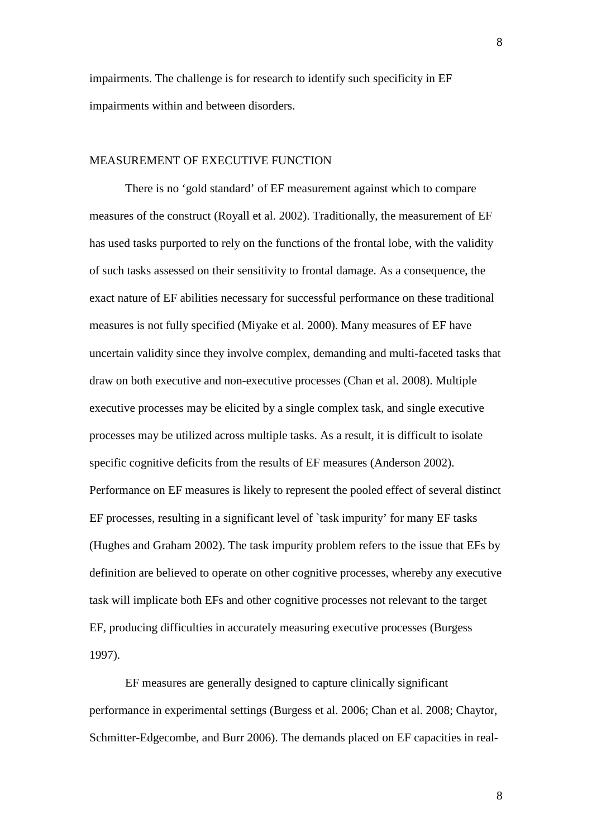impairments. The challenge is for research to identify such specificity in EF impairments within and between disorders.

# MEASUREMENT OF EXECUTIVE FUNCTION

There is no 'gold standard' of EF measurement against which to compare measures of the construct (Royall et al. 2002). Traditionally, the measurement of EF has used tasks purported to rely on the functions of the frontal lobe, with the validity of such tasks assessed on their sensitivity to frontal damage. As a consequence, the exact nature of EF abilities necessary for successful performance on these traditional measures is not fully specified (Miyake et al. 2000). Many measures of EF have uncertain validity since they involve complex, demanding and multi-faceted tasks that draw on both executive and non-executive processes (Chan et al. 2008). Multiple executive processes may be elicited by a single complex task, and single executive processes may be utilized across multiple tasks. As a result, it is difficult to isolate specific cognitive deficits from the results of EF measures (Anderson 2002). Performance on EF measures is likely to represent the pooled effect of several distinct EF processes, resulting in a significant level of `task impurity' for many EF tasks (Hughes and Graham 2002). The task impurity problem refers to the issue that EFs by definition are believed to operate on other cognitive processes, whereby any executive task will implicate both EFs and other cognitive processes not relevant to the target EF, producing difficulties in accurately measuring executive processes (Burgess 1997).

EF measures are generally designed to capture clinically significant performance in experimental settings (Burgess et al. 2006; Chan et al. 2008; Chaytor, Schmitter-Edgecombe, and Burr 2006). The demands placed on EF capacities in real-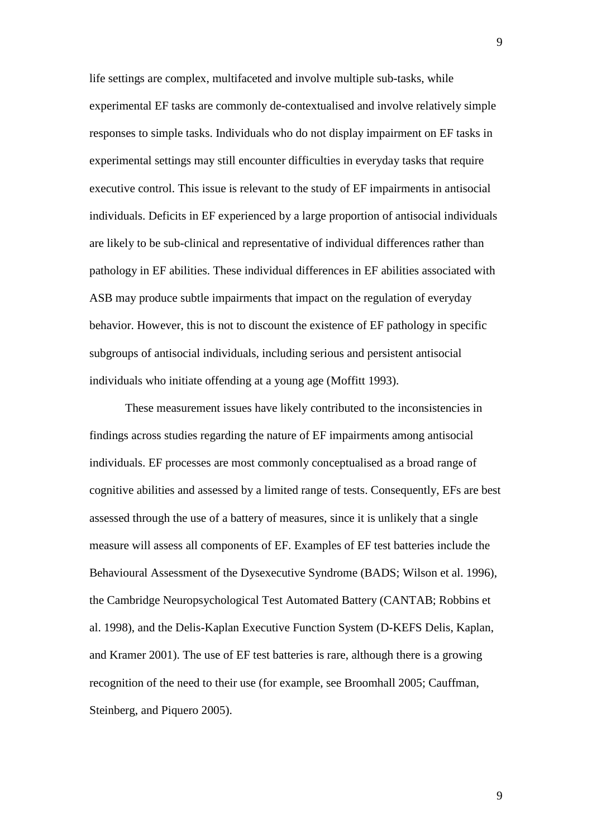life settings are complex, multifaceted and involve multiple sub-tasks, while experimental EF tasks are commonly de-contextualised and involve relatively simple responses to simple tasks. Individuals who do not display impairment on EF tasks in experimental settings may still encounter difficulties in everyday tasks that require executive control. This issue is relevant to the study of EF impairments in antisocial individuals. Deficits in EF experienced by a large proportion of antisocial individuals are likely to be sub-clinical and representative of individual differences rather than pathology in EF abilities. These individual differences in EF abilities associated with ASB may produce subtle impairments that impact on the regulation of everyday behavior. However, this is not to discount the existence of EF pathology in specific subgroups of antisocial individuals, including serious and persistent antisocial individuals who initiate offending at a young age (Moffitt 1993).

These measurement issues have likely contributed to the inconsistencies in findings across studies regarding the nature of EF impairments among antisocial individuals. EF processes are most commonly conceptualised as a broad range of cognitive abilities and assessed by a limited range of tests. Consequently, EFs are best assessed through the use of a battery of measures, since it is unlikely that a single measure will assess all components of EF. Examples of EF test batteries include the Behavioural Assessment of the Dysexecutive Syndrome (BADS; Wilson et al. 1996), the Cambridge Neuropsychological Test Automated Battery (CANTAB; Robbins et al. 1998), and the Delis-Kaplan Executive Function System (D-KEFS Delis, Kaplan, and Kramer 2001). The use of EF test batteries is rare, although there is a growing recognition of the need to their use (for example, see Broomhall 2005; Cauffman, Steinberg, and Piquero 2005).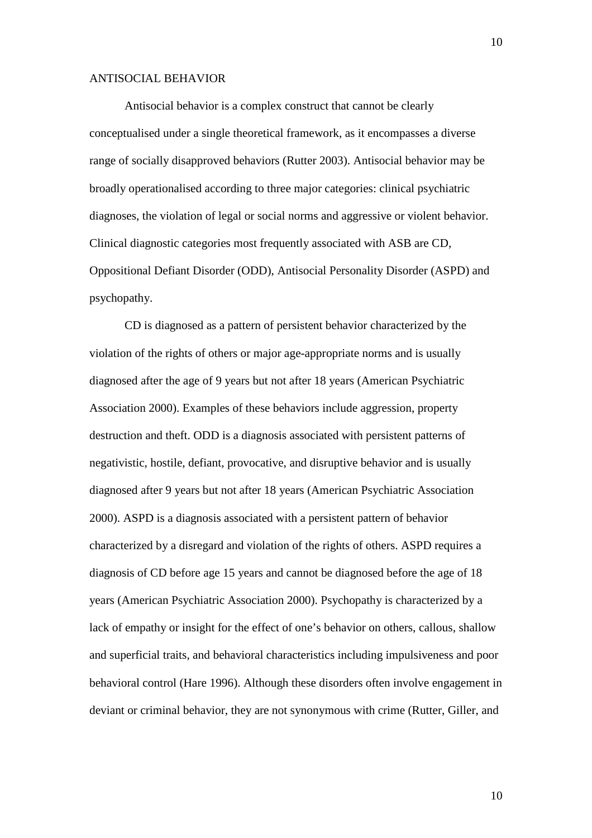### ANTISOCIAL BEHAVIOR

Antisocial behavior is a complex construct that cannot be clearly conceptualised under a single theoretical framework, as it encompasses a diverse range of socially disapproved behaviors (Rutter 2003). Antisocial behavior may be broadly operationalised according to three major categories: clinical psychiatric diagnoses, the violation of legal or social norms and aggressive or violent behavior. Clinical diagnostic categories most frequently associated with ASB are CD, Oppositional Defiant Disorder (ODD), Antisocial Personality Disorder (ASPD) and psychopathy.

CD is diagnosed as a pattern of persistent behavior characterized by the violation of the rights of others or major age-appropriate norms and is usually diagnosed after the age of 9 years but not after 18 years (American Psychiatric Association 2000). Examples of these behaviors include aggression, property destruction and theft. ODD is a diagnosis associated with persistent patterns of negativistic, hostile, defiant, provocative, and disruptive behavior and is usually diagnosed after 9 years but not after 18 years (American Psychiatric Association 2000). ASPD is a diagnosis associated with a persistent pattern of behavior characterized by a disregard and violation of the rights of others. ASPD requires a diagnosis of CD before age 15 years and cannot be diagnosed before the age of 18 years (American Psychiatric Association 2000). Psychopathy is characterized by a lack of empathy or insight for the effect of one's behavior on others, callous, shallow and superficial traits, and behavioral characteristics including impulsiveness and poor behavioral control (Hare 1996). Although these disorders often involve engagement in deviant or criminal behavior, they are not synonymous with crime (Rutter, Giller, and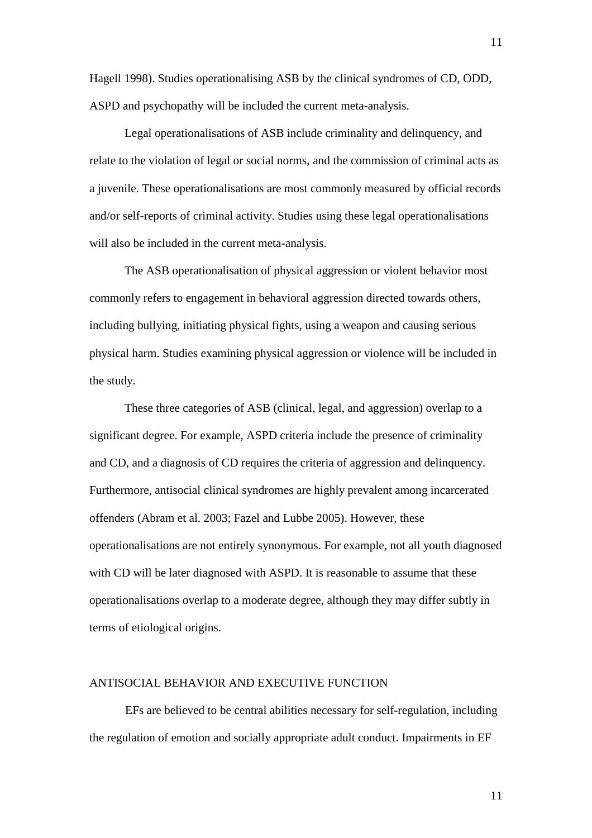Hagell 1998). Studies operationalising ASB by the clinical syndromes of CD, ODD, ASPD and psychopathy will be included the current meta-analysis.

Legal operationalisations of ASB include criminality and delinquency, and relate to the violation of legal or social norms, and the commission of criminal acts as a juvenile. These operationalisations are most commonly measured by official records and/or self-reports of criminal activity. Studies using these legal operationalisations will also be included in the current meta-analysis.

The ASB operationalisation of physical aggression or violent behavior most commonly refers to engagement in behavioral aggression directed towards others, including bullying, initiating physical fights, using a weapon and causing serious physical harm. Studies examining physical aggression or violence will be included in the study.

These three categories of ASB (clinical, legal, and aggression) overlap to a significant degree. For example, ASPD criteria include the presence of criminality and CD, and a diagnosis of CD requires the criteria of aggression and delinquency. Furthermore, antisocial clinical syndromes are highly prevalent among incarcerated offenders (Abram et al. 2003; Fazel and Lubbe 2005). However, these operationalisations are not entirely synonymous. For example, not all youth diagnosed with CD will be later diagnosed with ASPD. It is reasonable to assume that these operationalisations overlap to a moderate degree, although they may differ subtly in terms of etiological origins.

# ANTISOCIAL BEHAVIOR AND EXECUTIVE FUNCTION

EFs are believed to be central abilities necessary for self-regulation, including the regulation of emotion and socially appropriate adult conduct. Impairments in EF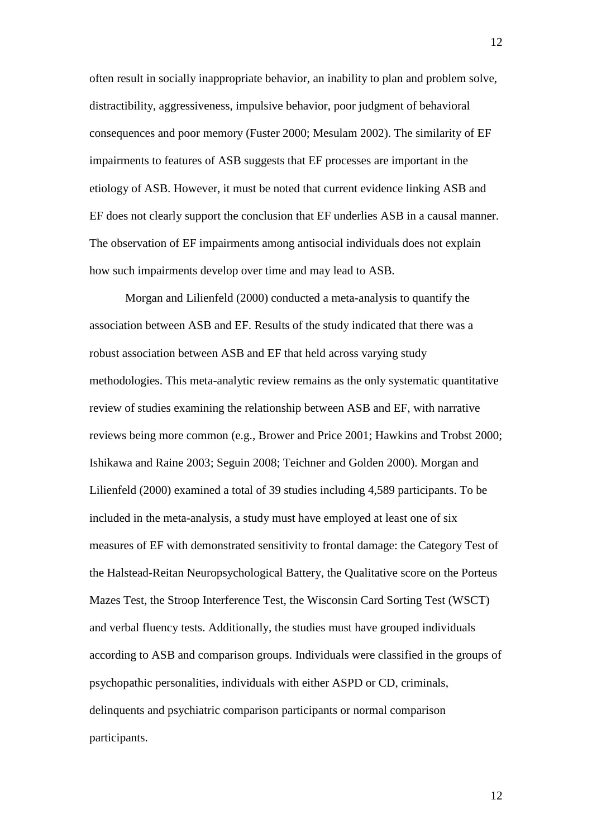often result in socially inappropriate behavior, an inability to plan and problem solve, distractibility, aggressiveness, impulsive behavior, poor judgment of behavioral consequences and poor memory (Fuster 2000; Mesulam 2002). The similarity of EF impairments to features of ASB suggests that EF processes are important in the etiology of ASB. However, it must be noted that current evidence linking ASB and EF does not clearly support the conclusion that EF underlies ASB in a causal manner. The observation of EF impairments among antisocial individuals does not explain how such impairments develop over time and may lead to ASB.

Morgan and Lilienfeld (2000) conducted a meta-analysis to quantify the association between ASB and EF. Results of the study indicated that there was a robust association between ASB and EF that held across varying study methodologies. This meta-analytic review remains as the only systematic quantitative review of studies examining the relationship between ASB and EF, with narrative reviews being more common (e.g., Brower and Price 2001; Hawkins and Trobst 2000; Ishikawa and Raine 2003; Seguin 2008; Teichner and Golden 2000). Morgan and Lilienfeld (2000) examined a total of 39 studies including 4,589 participants. To be included in the meta-analysis, a study must have employed at least one of six measures of EF with demonstrated sensitivity to frontal damage: the Category Test of the Halstead-Reitan Neuropsychological Battery, the Qualitative score on the Porteus Mazes Test, the Stroop Interference Test, the Wisconsin Card Sorting Test (WSCT) and verbal fluency tests. Additionally, the studies must have grouped individuals according to ASB and comparison groups. Individuals were classified in the groups of psychopathic personalities, individuals with either ASPD or CD, criminals, delinquents and psychiatric comparison participants or normal comparison participants.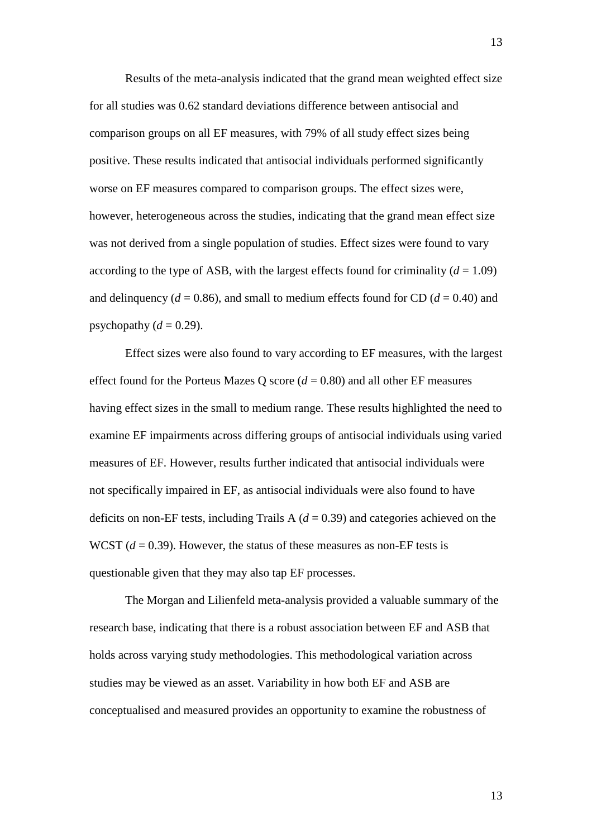Results of the meta-analysis indicated that the grand mean weighted effect size for all studies was 0.62 standard deviations difference between antisocial and comparison groups on all EF measures, with 79% of all study effect sizes being positive. These results indicated that antisocial individuals performed significantly worse on EF measures compared to comparison groups. The effect sizes were, however, heterogeneous across the studies, indicating that the grand mean effect size was not derived from a single population of studies. Effect sizes were found to vary according to the type of ASB, with the largest effects found for criminality  $(d = 1.09)$ and delinquency ( $d = 0.86$ ), and small to medium effects found for CD ( $d = 0.40$ ) and psychopathy  $(d = 0.29)$ .

Effect sizes were also found to vary according to EF measures, with the largest effect found for the Porteus Mazes Q score  $(d = 0.80)$  and all other EF measures having effect sizes in the small to medium range. These results highlighted the need to examine EF impairments across differing groups of antisocial individuals using varied measures of EF. However, results further indicated that antisocial individuals were not specifically impaired in EF, as antisocial individuals were also found to have deficits on non-EF tests, including Trails  $A$  ( $d = 0.39$ ) and categories achieved on the WCST  $(d = 0.39)$ . However, the status of these measures as non-EF tests is questionable given that they may also tap EF processes.

The Morgan and Lilienfeld meta-analysis provided a valuable summary of the research base, indicating that there is a robust association between EF and ASB that holds across varying study methodologies. This methodological variation across studies may be viewed as an asset. Variability in how both EF and ASB are conceptualised and measured provides an opportunity to examine the robustness of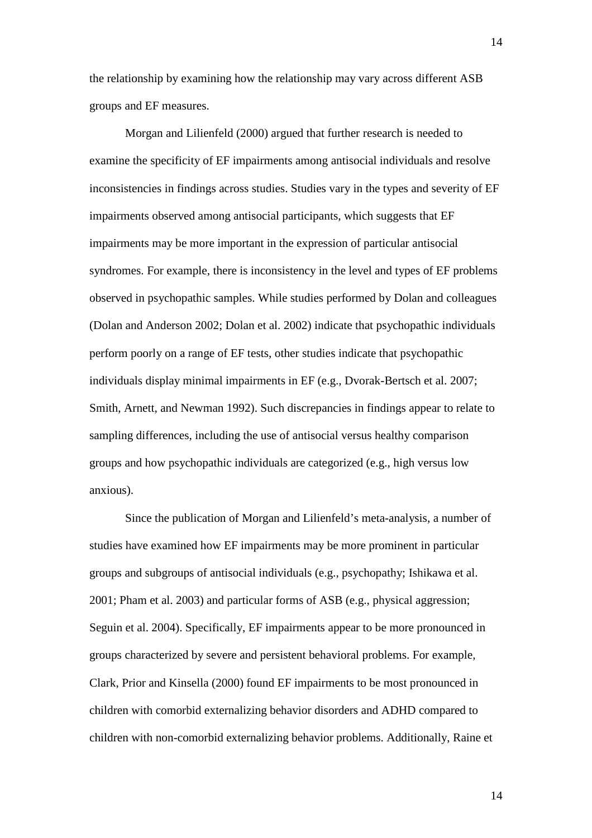the relationship by examining how the relationship may vary across different ASB groups and EF measures.

Morgan and Lilienfeld (2000) argued that further research is needed to examine the specificity of EF impairments among antisocial individuals and resolve inconsistencies in findings across studies. Studies vary in the types and severity of EF impairments observed among antisocial participants, which suggests that EF impairments may be more important in the expression of particular antisocial syndromes. For example, there is inconsistency in the level and types of EF problems observed in psychopathic samples. While studies performed by Dolan and colleagues (Dolan and Anderson 2002; Dolan et al. 2002) indicate that psychopathic individuals perform poorly on a range of EF tests, other studies indicate that psychopathic individuals display minimal impairments in EF (e.g., Dvorak-Bertsch et al. 2007; Smith, Arnett, and Newman 1992). Such discrepancies in findings appear to relate to sampling differences, including the use of antisocial versus healthy comparison groups and how psychopathic individuals are categorized (e.g., high versus low anxious).

Since the publication of Morgan and Lilienfeld's meta-analysis, a number of studies have examined how EF impairments may be more prominent in particular groups and subgroups of antisocial individuals (e.g., psychopathy; Ishikawa et al. 2001; Pham et al. 2003) and particular forms of ASB (e.g., physical aggression; Seguin et al. 2004). Specifically, EF impairments appear to be more pronounced in groups characterized by severe and persistent behavioral problems. For example, Clark, Prior and Kinsella (2000) found EF impairments to be most pronounced in children with comorbid externalizing behavior disorders and ADHD compared to children with non-comorbid externalizing behavior problems. Additionally, Raine et

14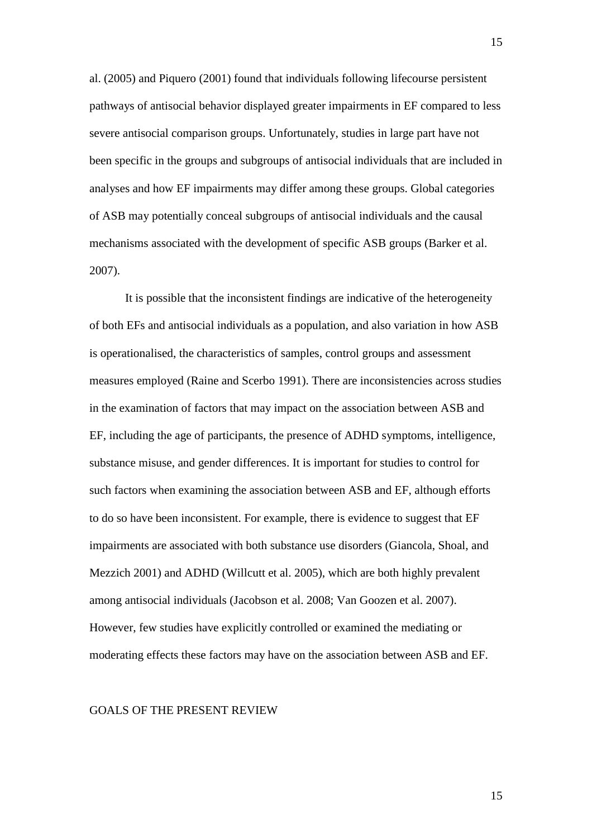al. (2005) and Piquero (2001) found that individuals following lifecourse persistent pathways of antisocial behavior displayed greater impairments in EF compared to less severe antisocial comparison groups. Unfortunately, studies in large part have not been specific in the groups and subgroups of antisocial individuals that are included in analyses and how EF impairments may differ among these groups. Global categories of ASB may potentially conceal subgroups of antisocial individuals and the causal mechanisms associated with the development of specific ASB groups (Barker et al. 2007).

It is possible that the inconsistent findings are indicative of the heterogeneity of both EFs and antisocial individuals as a population, and also variation in how ASB is operationalised, the characteristics of samples, control groups and assessment measures employed (Raine and Scerbo 1991). There are inconsistencies across studies in the examination of factors that may impact on the association between ASB and EF, including the age of participants, the presence of ADHD symptoms, intelligence, substance misuse, and gender differences. It is important for studies to control for such factors when examining the association between ASB and EF, although efforts to do so have been inconsistent. For example, there is evidence to suggest that EF impairments are associated with both substance use disorders (Giancola, Shoal, and Mezzich 2001) and ADHD (Willcutt et al. 2005), which are both highly prevalent among antisocial individuals (Jacobson et al. 2008; Van Goozen et al. 2007). However, few studies have explicitly controlled or examined the mediating or moderating effects these factors may have on the association between ASB and EF.

### GOALS OF THE PRESENT REVIEW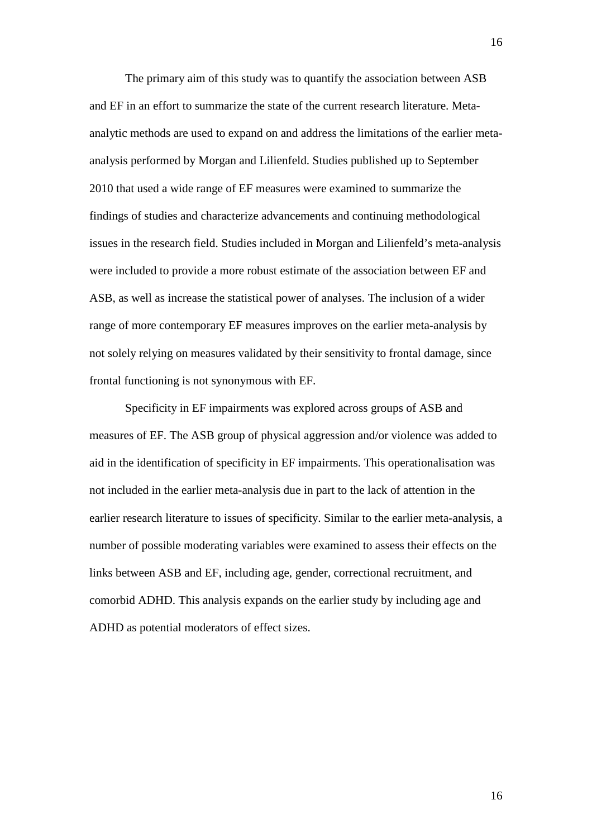The primary aim of this study was to quantify the association between ASB and EF in an effort to summarize the state of the current research literature. Metaanalytic methods are used to expand on and address the limitations of the earlier metaanalysis performed by Morgan and Lilienfeld. Studies published up to September 2010 that used a wide range of EF measures were examined to summarize the findings of studies and characterize advancements and continuing methodological issues in the research field. Studies included in Morgan and Lilienfeld's meta-analysis were included to provide a more robust estimate of the association between EF and ASB, as well as increase the statistical power of analyses. The inclusion of a wider range of more contemporary EF measures improves on the earlier meta-analysis by not solely relying on measures validated by their sensitivity to frontal damage, since frontal functioning is not synonymous with EF.

Specificity in EF impairments was explored across groups of ASB and measures of EF. The ASB group of physical aggression and/or violence was added to aid in the identification of specificity in EF impairments. This operationalisation was not included in the earlier meta-analysis due in part to the lack of attention in the earlier research literature to issues of specificity. Similar to the earlier meta-analysis, a number of possible moderating variables were examined to assess their effects on the links between ASB and EF, including age, gender, correctional recruitment, and comorbid ADHD. This analysis expands on the earlier study by including age and ADHD as potential moderators of effect sizes.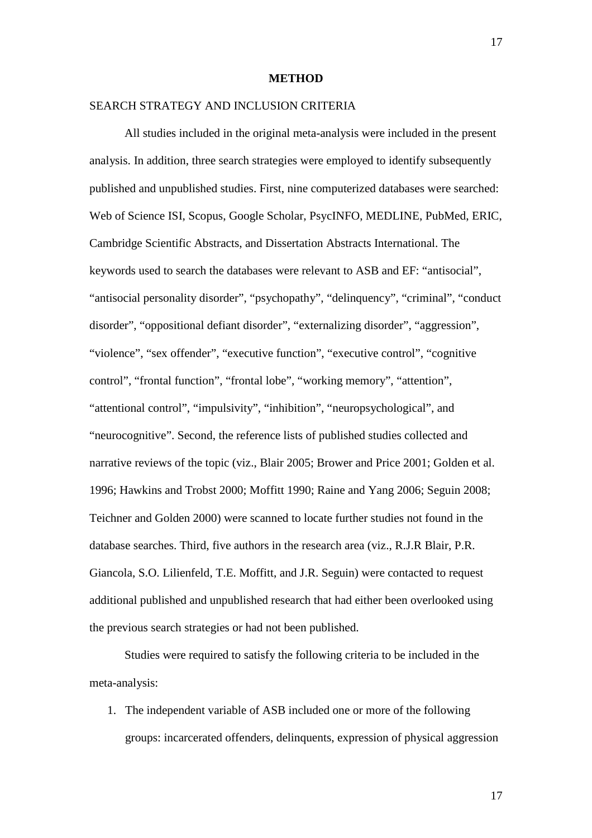#### **METHOD**

# SEARCH STRATEGY AND INCLUSION CRITERIA

All studies included in the original meta-analysis were included in the present analysis. In addition, three search strategies were employed to identify subsequently published and unpublished studies. First, nine computerized databases were searched: Web of Science ISI, Scopus, Google Scholar, PsycINFO, MEDLINE, PubMed, ERIC, Cambridge Scientific Abstracts, and Dissertation Abstracts International. The keywords used to search the databases were relevant to ASB and EF: "antisocial", "antisocial personality disorder", "psychopathy", "delinquency", "criminal", "conduct disorder", "oppositional defiant disorder", "externalizing disorder", "aggression", "violence", "sex offender", "executive function", "executive control", "cognitive control", "frontal function", "frontal lobe", "working memory", "attention", "attentional control", "impulsivity", "inhibition", "neuropsychological", and "neurocognitive". Second, the reference lists of published studies collected and narrative reviews of the topic (viz., Blair 2005; Brower and Price 2001; Golden et al. 1996; Hawkins and Trobst 2000; Moffitt 1990; Raine and Yang 2006; Seguin 2008; Teichner and Golden 2000) were scanned to locate further studies not found in the database searches. Third, five authors in the research area (viz., R.J.R Blair, P.R. Giancola, S.O. Lilienfeld, T.E. Moffitt, and J.R. Seguin) were contacted to request additional published and unpublished research that had either been overlooked using the previous search strategies or had not been published.

Studies were required to satisfy the following criteria to be included in the meta-analysis:

1. The independent variable of ASB included one or more of the following groups: incarcerated offenders, delinquents, expression of physical aggression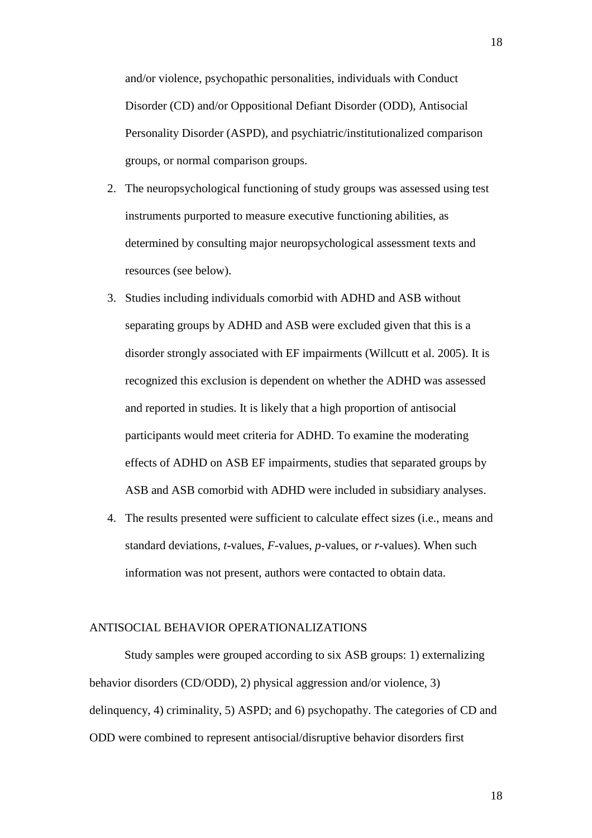and/or violence, psychopathic personalities, individuals with Conduct Disorder (CD) and/or Oppositional Defiant Disorder (ODD), Antisocial Personality Disorder (ASPD), and psychiatric/institutionalized comparison groups, or normal comparison groups.

- 2. The neuropsychological functioning of study groups was assessed using test instruments purported to measure executive functioning abilities, as determined by consulting major neuropsychological assessment texts and resources (see below).
- 3. Studies including individuals comorbid with ADHD and ASB without separating groups by ADHD and ASB were excluded given that this is a disorder strongly associated with EF impairments (Willcutt et al. 2005). It is recognized this exclusion is dependent on whether the ADHD was assessed and reported in studies. It is likely that a high proportion of antisocial participants would meet criteria for ADHD. To examine the moderating effects of ADHD on ASB EF impairments, studies that separated groups by ASB and ASB comorbid with ADHD were included in subsidiary analyses.
- 4. The results presented were sufficient to calculate effect sizes (i.e., means and standard deviations, *t*-values, *F*-values, *p*-values, or *r*-values). When such information was not present, authors were contacted to obtain data.

# ANTISOCIAL BEHAVIOR OPERATIONALIZATIONS

Study samples were grouped according to six ASB groups: 1) externalizing behavior disorders (CD/ODD), 2) physical aggression and/or violence, 3) delinquency, 4) criminality, 5) ASPD; and 6) psychopathy. The categories of CD and ODD were combined to represent antisocial/disruptive behavior disorders first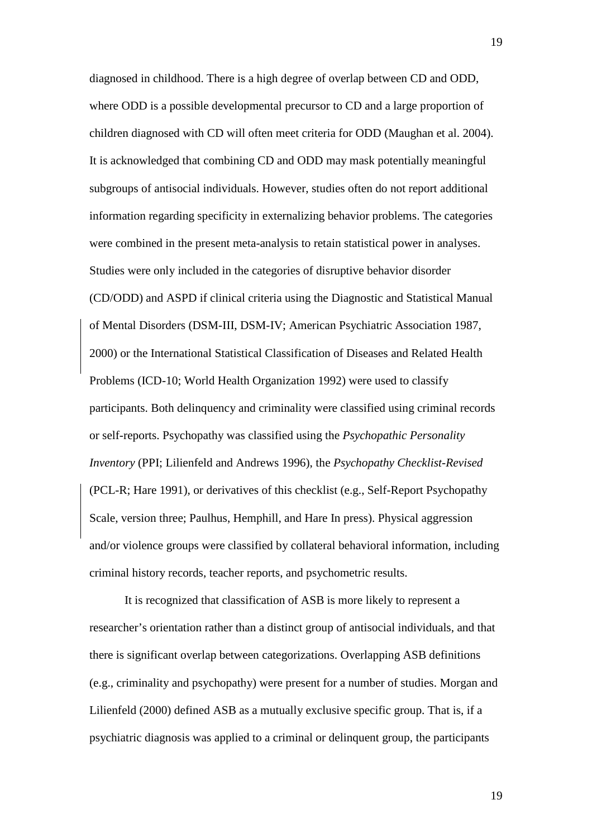diagnosed in childhood. There is a high degree of overlap between CD and ODD, where ODD is a possible developmental precursor to CD and a large proportion of children diagnosed with CD will often meet criteria for ODD (Maughan et al. 2004). It is acknowledged that combining CD and ODD may mask potentially meaningful subgroups of antisocial individuals. However, studies often do not report additional information regarding specificity in externalizing behavior problems. The categories were combined in the present meta-analysis to retain statistical power in analyses. Studies were only included in the categories of disruptive behavior disorder (CD/ODD) and ASPD if clinical criteria using the Diagnostic and Statistical Manual of Mental Disorders (DSM-III, DSM-IV; American Psychiatric Association 1987, 2000) or the International Statistical Classification of Diseases and Related Health Problems (ICD-10; World Health Organization 1992) were used to classify participants. Both delinquency and criminality were classified using criminal records or self-reports. Psychopathy was classified using the *Psychopathic Personality Inventory* (PPI; Lilienfeld and Andrews 1996), the *Psychopathy Checklist-Revised* (PCL-R; Hare 1991), or derivatives of this checklist (e.g., Self-Report Psychopathy Scale, version three; Paulhus, Hemphill, and Hare In press). Physical aggression and/or violence groups were classified by collateral behavioral information, including criminal history records, teacher reports, and psychometric results.

It is recognized that classification of ASB is more likely to represent a researcher's orientation rather than a distinct group of antisocial individuals, and that there is significant overlap between categorizations. Overlapping ASB definitions (e.g., criminality and psychopathy) were present for a number of studies. Morgan and Lilienfeld (2000) defined ASB as a mutually exclusive specific group. That is, if a psychiatric diagnosis was applied to a criminal or delinquent group, the participants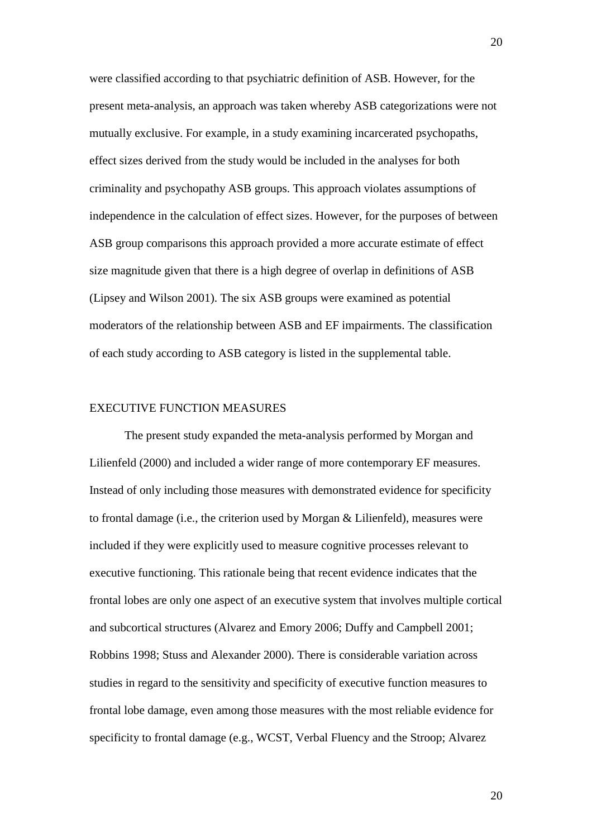were classified according to that psychiatric definition of ASB. However, for the present meta-analysis, an approach was taken whereby ASB categorizations were not mutually exclusive. For example, in a study examining incarcerated psychopaths, effect sizes derived from the study would be included in the analyses for both criminality and psychopathy ASB groups. This approach violates assumptions of independence in the calculation of effect sizes. However, for the purposes of between ASB group comparisons this approach provided a more accurate estimate of effect size magnitude given that there is a high degree of overlap in definitions of ASB (Lipsey and Wilson 2001). The six ASB groups were examined as potential moderators of the relationship between ASB and EF impairments. The classification of each study according to ASB category is listed in the supplemental table.

# EXECUTIVE FUNCTION MEASURES

The present study expanded the meta-analysis performed by Morgan and Lilienfeld (2000) and included a wider range of more contemporary EF measures. Instead of only including those measures with demonstrated evidence for specificity to frontal damage (i.e., the criterion used by Morgan & Lilienfeld), measures were included if they were explicitly used to measure cognitive processes relevant to executive functioning. This rationale being that recent evidence indicates that the frontal lobes are only one aspect of an executive system that involves multiple cortical and subcortical structures (Alvarez and Emory 2006; Duffy and Campbell 2001; Robbins 1998; Stuss and Alexander 2000). There is considerable variation across studies in regard to the sensitivity and specificity of executive function measures to frontal lobe damage, even among those measures with the most reliable evidence for specificity to frontal damage (e.g., WCST, Verbal Fluency and the Stroop; Alvarez

20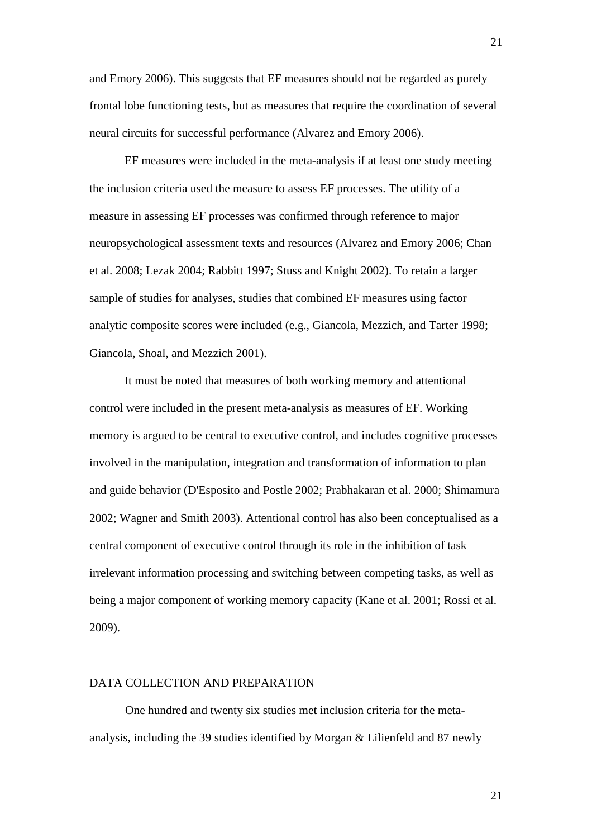and Emory 2006). This suggests that EF measures should not be regarded as purely frontal lobe functioning tests, but as measures that require the coordination of several neural circuits for successful performance (Alvarez and Emory 2006).

EF measures were included in the meta-analysis if at least one study meeting the inclusion criteria used the measure to assess EF processes. The utility of a measure in assessing EF processes was confirmed through reference to major neuropsychological assessment texts and resources (Alvarez and Emory 2006; Chan et al. 2008; Lezak 2004; Rabbitt 1997; Stuss and Knight 2002). To retain a larger sample of studies for analyses, studies that combined EF measures using factor analytic composite scores were included (e.g., Giancola, Mezzich, and Tarter 1998; Giancola, Shoal, and Mezzich 2001).

It must be noted that measures of both working memory and attentional control were included in the present meta-analysis as measures of EF. Working memory is argued to be central to executive control, and includes cognitive processes involved in the manipulation, integration and transformation of information to plan and guide behavior (D'Esposito and Postle 2002; Prabhakaran et al. 2000; Shimamura 2002; Wagner and Smith 2003). Attentional control has also been conceptualised as a central component of executive control through its role in the inhibition of task irrelevant information processing and switching between competing tasks, as well as being a major component of working memory capacity (Kane et al. 2001; Rossi et al. 2009).

# DATA COLLECTION AND PREPARATION

One hundred and twenty six studies met inclusion criteria for the metaanalysis, including the 39 studies identified by Morgan & Lilienfeld and 87 newly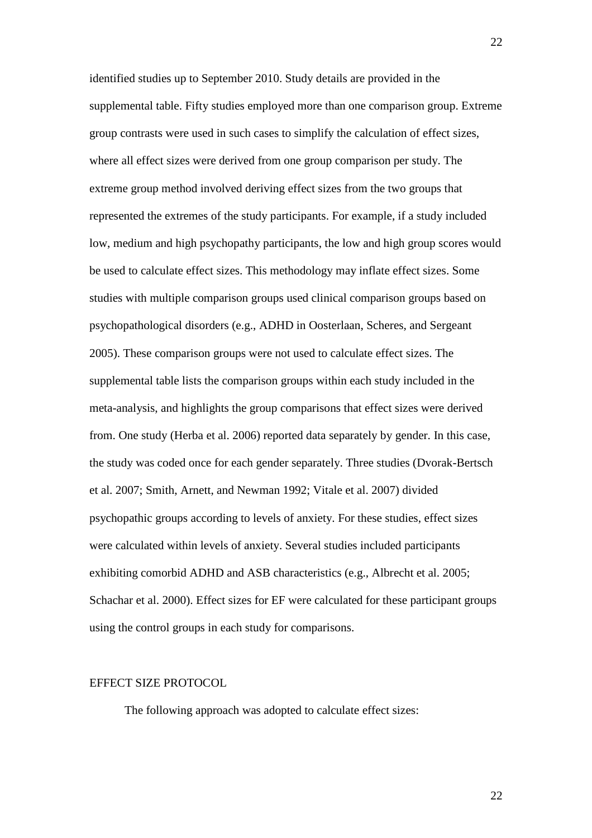identified studies up to September 2010. Study details are provided in the supplemental table. Fifty studies employed more than one comparison group. Extreme group contrasts were used in such cases to simplify the calculation of effect sizes, where all effect sizes were derived from one group comparison per study. The extreme group method involved deriving effect sizes from the two groups that represented the extremes of the study participants. For example, if a study included low, medium and high psychopathy participants, the low and high group scores would be used to calculate effect sizes. This methodology may inflate effect sizes. Some studies with multiple comparison groups used clinical comparison groups based on psychopathological disorders (e.g., ADHD in Oosterlaan, Scheres, and Sergeant 2005). These comparison groups were not used to calculate effect sizes. The supplemental table lists the comparison groups within each study included in the meta-analysis, and highlights the group comparisons that effect sizes were derived from. One study (Herba et al. 2006) reported data separately by gender. In this case, the study was coded once for each gender separately. Three studies (Dvorak-Bertsch et al. 2007; Smith, Arnett, and Newman 1992; Vitale et al. 2007) divided psychopathic groups according to levels of anxiety. For these studies, effect sizes were calculated within levels of anxiety. Several studies included participants exhibiting comorbid ADHD and ASB characteristics (e.g., Albrecht et al. 2005; Schachar et al. 2000). Effect sizes for EF were calculated for these participant groups using the control groups in each study for comparisons.

# EFFECT SIZE PROTOCOL

The following approach was adopted to calculate effect sizes: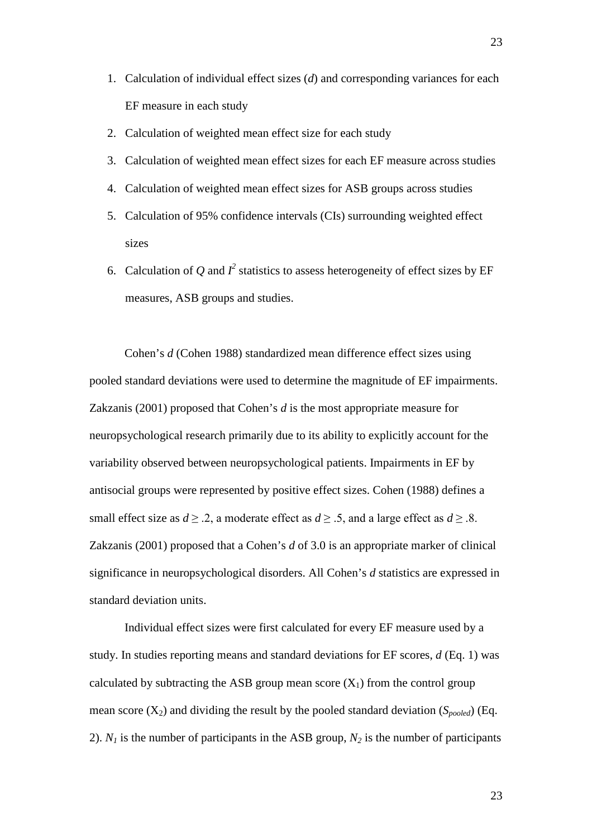- 1. Calculation of individual effect sizes (*d*) and corresponding variances for each EF measure in each study
- 2. Calculation of weighted mean effect size for each study
- 3. Calculation of weighted mean effect sizes for each EF measure across studies
- 4. Calculation of weighted mean effect sizes for ASB groups across studies
- 5. Calculation of 95% confidence intervals (CIs) surrounding weighted effect sizes
- 6. Calculation of Q and  $I^2$  statistics to assess heterogeneity of effect sizes by EF measures, ASB groups and studies.

Cohen's *d* (Cohen 1988) standardized mean difference effect sizes using pooled standard deviations were used to determine the magnitude of EF impairments. Zakzanis (2001) proposed that Cohen's *d* is the most appropriate measure for neuropsychological research primarily due to its ability to explicitly account for the variability observed between neuropsychological patients. Impairments in EF by antisocial groups were represented by positive effect sizes. Cohen (1988) defines a small effect size as  $d \ge 0.2$ , a moderate effect as  $d \ge 0.5$ , and a large effect as  $d \ge 0.8$ . Zakzanis (2001) proposed that a Cohen's *d* of 3.0 is an appropriate marker of clinical significance in neuropsychological disorders. All Cohen's *d* statistics are expressed in standard deviation units.

Individual effect sizes were first calculated for every EF measure used by a study. In studies reporting means and standard deviations for EF scores, *d* (Eq. 1) was calculated by subtracting the ASB group mean score  $(X_1)$  from the control group mean score  $(X_2)$  and dividing the result by the pooled standard deviation  $(S_{pooled})$  (Eq. 2).  $N_1$  is the number of participants in the ASB group,  $N_2$  is the number of participants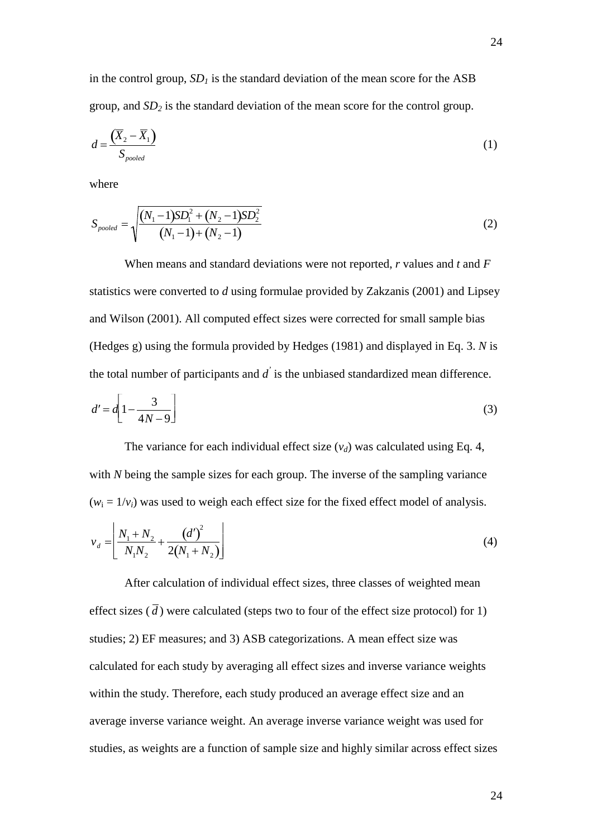in the control group,  $SD<sub>1</sub>$  is the standard deviation of the mean score for the ASB group, and *SD2* is the standard deviation of the mean score for the control group.

$$
d = \frac{\left(\overline{X}_2 - \overline{X}_1\right)}{S_{pooled}}\tag{1}
$$

where

$$
S_{pooled} = \sqrt{\frac{(N_1 - 1)SD_1^2 + (N_2 - 1)SD_2^2}{(N_1 - 1) + (N_2 - 1)}}
$$
(2)

When means and standard deviations were not reported, *r* values and *t* and *F* statistics were converted to *d* using formulae provided by Zakzanis (2001) and Lipsey and Wilson (2001). All computed effect sizes were corrected for small sample bias (Hedges g) using the formula provided by Hedges (1981) and displayed in Eq. 3. *N* is the total number of participants and *d'* is the unbiased standardized mean difference.

$$
d' = d \left[ 1 - \frac{3}{4N - 9} \right] \tag{3}
$$

The variance for each individual effect size  $(v_d)$  was calculated using Eq. 4, with *N* being the sample sizes for each group. The inverse of the sampling variance  $(w_i = 1/v_i)$  was used to weigh each effect size for the fixed effect model of analysis.

$$
v_d = \left[ \frac{N_1 + N_2}{N_1 N_2} + \frac{\left(d'\right)^2}{2\left(N_1 + N_2\right)} \right] \tag{4}
$$

After calculation of individual effect sizes, three classes of weighted mean effect sizes  $(\bar{d})$  were calculated (steps two to four of the effect size protocol) for 1) studies; 2) EF measures; and 3) ASB categorizations. A mean effect size was calculated for each study by averaging all effect sizes and inverse variance weights within the study. Therefore, each study produced an average effect size and an average inverse variance weight. An average inverse variance weight was used for studies, as weights are a function of sample size and highly similar across effect sizes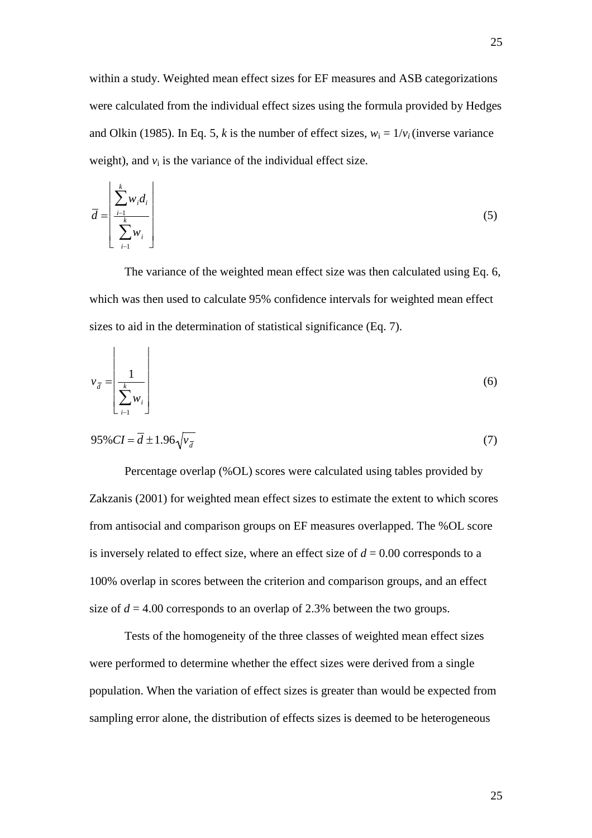within a study. Weighted mean effect sizes for EF measures and ASB categorizations were calculated from the individual effect sizes using the formula provided by Hedges and Olkin (1985). In Eq. 5, *k* is the number of effect sizes,  $w_i = 1/v_i$  (inverse variance weight), and  $v_i$  is the variance of the individual effect size.

$$
\overline{d} = \left[ \frac{\sum_{i=1}^{k} w_i d_i}{\sum_{i=1}^{k} w_i} \right]
$$
\n(5)

The variance of the weighted mean effect size was then calculated using Eq. 6, which was then used to calculate 95% confidence intervals for weighted mean effect sizes to aid in the determination of statistical significance (Eq. 7).

$$
v_{\overline{d}} = \left[ \frac{1}{\sum_{i=1}^{k} w_i} \right]
$$
 (6)

$$
95\% CI = \overline{d} \pm 1.96\sqrt{\overline{v}_{\overline{d}}}
$$
 (7)

Percentage overlap (%OL) scores were calculated using tables provided by Zakzanis (2001) for weighted mean effect sizes to estimate the extent to which scores from antisocial and comparison groups on EF measures overlapped. The %OL score is inversely related to effect size, where an effect size of  $d = 0.00$  corresponds to a 100% overlap in scores between the criterion and comparison groups, and an effect size of  $d = 4.00$  corresponds to an overlap of 2.3% between the two groups.

Tests of the homogeneity of the three classes of weighted mean effect sizes were performed to determine whether the effect sizes were derived from a single population. When the variation of effect sizes is greater than would be expected from sampling error alone, the distribution of effects sizes is deemed to be heterogeneous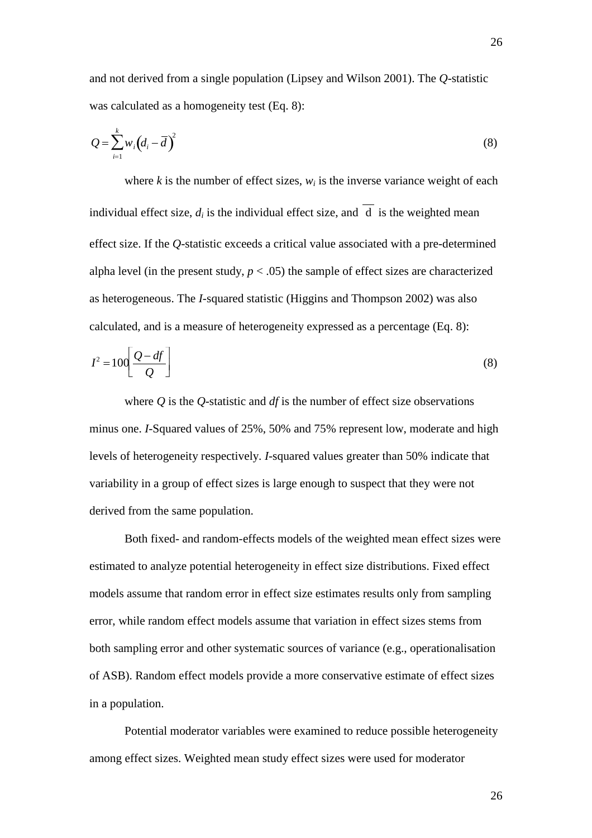and not derived from a single population (Lipsey and Wilson 2001). The *Q*-statistic was calculated as a homogeneity test (Eq. 8):

$$
Q = \sum_{i=1}^{k} w_i \left( d_i - \overline{d} \right)^2 \tag{8}
$$

where  $k$  is the number of effect sizes,  $w_i$  is the inverse variance weight of each individual effect size,  $d_i$  is the individual effect size, and  $\overline{d}$  is the weighted mean effect size. If the *Q*-statistic exceeds a critical value associated with a pre-determined alpha level (in the present study,  $p < .05$ ) the sample of effect sizes are characterized as heterogeneous. The *I*-squared statistic (Higgins and Thompson 2002) was also calculated, and is a measure of heterogeneity expressed as a percentage (Eq. 8):

$$
I^2 = 100 \left[ \frac{Q - df}{Q} \right] \tag{8}
$$

where *Q* is the *Q*-statistic and *df* is the number of effect size observations minus one. *I*-Squared values of 25%, 50% and 75% represent low, moderate and high levels of heterogeneity respectively. *I*-squared values greater than 50% indicate that variability in a group of effect sizes is large enough to suspect that they were not derived from the same population.

Both fixed- and random-effects models of the weighted mean effect sizes were estimated to analyze potential heterogeneity in effect size distributions. Fixed effect models assume that random error in effect size estimates results only from sampling error, while random effect models assume that variation in effect sizes stems from both sampling error and other systematic sources of variance (e.g., operationalisation of ASB). Random effect models provide a more conservative estimate of effect sizes in a population.

Potential moderator variables were examined to reduce possible heterogeneity among effect sizes. Weighted mean study effect sizes were used for moderator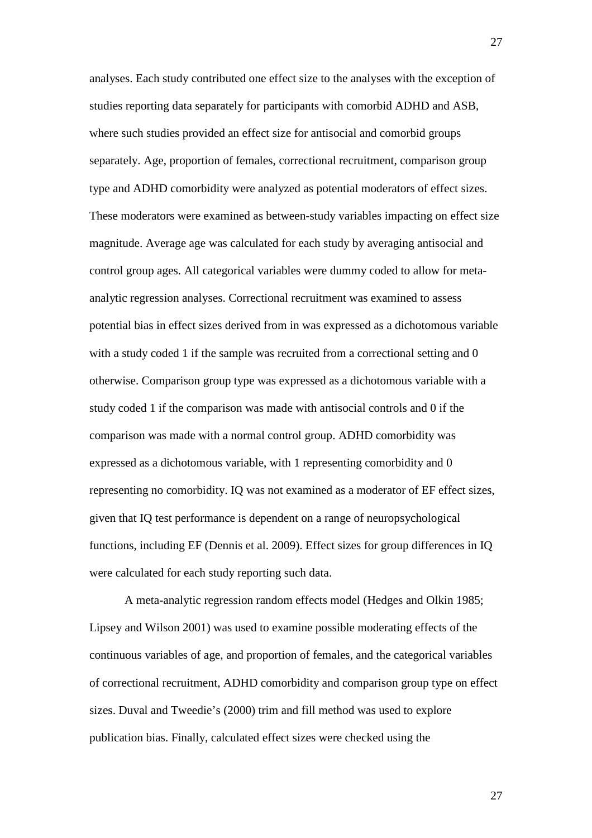analyses. Each study contributed one effect size to the analyses with the exception of studies reporting data separately for participants with comorbid ADHD and ASB, where such studies provided an effect size for antisocial and comorbid groups separately. Age, proportion of females, correctional recruitment, comparison group type and ADHD comorbidity were analyzed as potential moderators of effect sizes. These moderators were examined as between-study variables impacting on effect size magnitude. Average age was calculated for each study by averaging antisocial and control group ages. All categorical variables were dummy coded to allow for metaanalytic regression analyses. Correctional recruitment was examined to assess potential bias in effect sizes derived from in was expressed as a dichotomous variable with a study coded 1 if the sample was recruited from a correctional setting and 0 otherwise. Comparison group type was expressed as a dichotomous variable with a study coded 1 if the comparison was made with antisocial controls and 0 if the comparison was made with a normal control group. ADHD comorbidity was expressed as a dichotomous variable, with 1 representing comorbidity and 0 representing no comorbidity. IQ was not examined as a moderator of EF effect sizes, given that IQ test performance is dependent on a range of neuropsychological functions, including EF (Dennis et al. 2009). Effect sizes for group differences in IQ were calculated for each study reporting such data.

A meta-analytic regression random effects model (Hedges and Olkin 1985; Lipsey and Wilson 2001) was used to examine possible moderating effects of the continuous variables of age, and proportion of females, and the categorical variables of correctional recruitment, ADHD comorbidity and comparison group type on effect sizes. Duval and Tweedie's (2000) trim and fill method was used to explore publication bias. Finally, calculated effect sizes were checked using the

27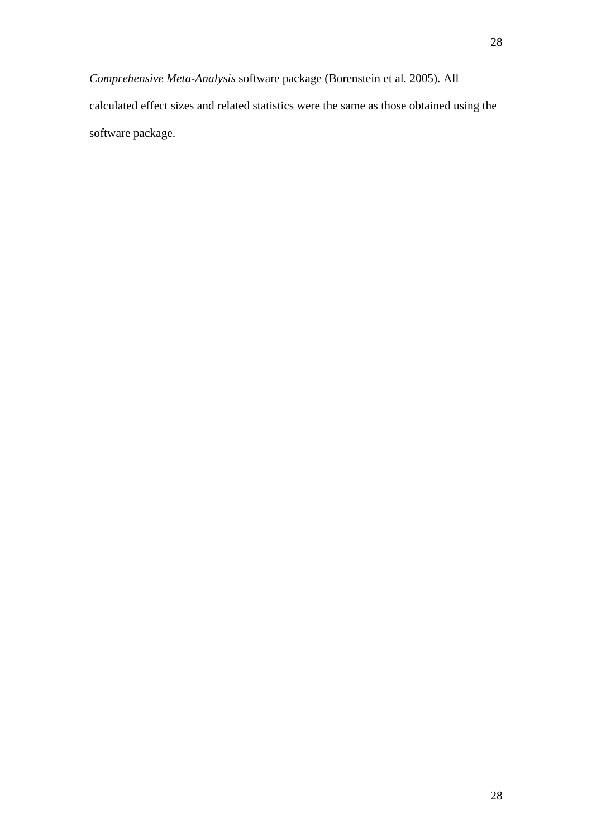*Comprehensive Meta-Analysis* software package (Borenstein et al. 2005). All calculated effect sizes and related statistics were the same as those obtained using the software package.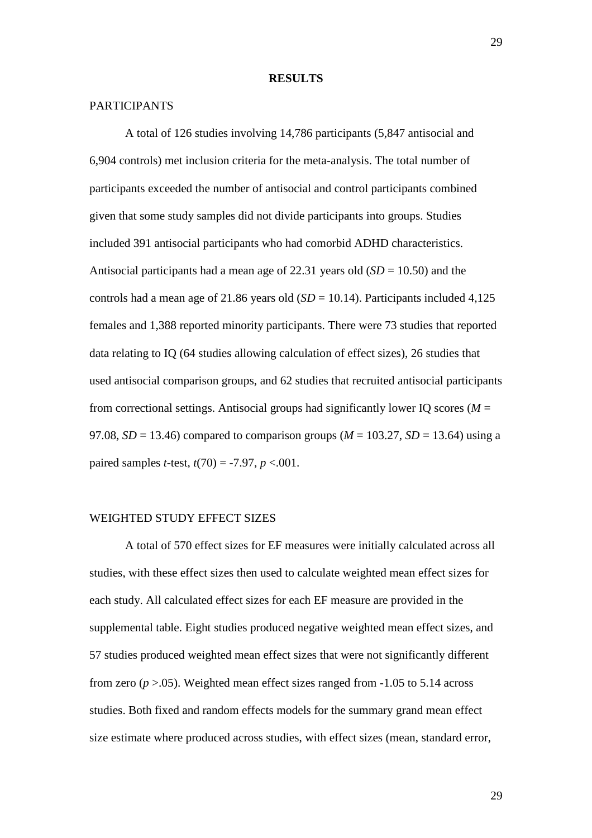#### **RESULTS**

# PARTICIPANTS

A total of 126 studies involving 14,786 participants (5,847 antisocial and 6,904 controls) met inclusion criteria for the meta-analysis. The total number of participants exceeded the number of antisocial and control participants combined given that some study samples did not divide participants into groups. Studies included 391 antisocial participants who had comorbid ADHD characteristics. Antisocial participants had a mean age of 22.31 years old  $(SD = 10.50)$  and the controls had a mean age of 21.86 years old  $(SD = 10.14)$ . Participants included 4,125 females and 1,388 reported minority participants. There were 73 studies that reported data relating to IQ (64 studies allowing calculation of effect sizes), 26 studies that used antisocial comparison groups, and 62 studies that recruited antisocial participants from correctional settings. Antisocial groups had significantly lower IQ scores ( $M =$ 97.08,  $SD = 13.46$ ) compared to comparison groups ( $M = 103.27$ ,  $SD = 13.64$ ) using a paired samples *t*-test,  $t(70) = -7.97$ ,  $p < .001$ .

## WEIGHTED STUDY EFFECT SIZES

A total of 570 effect sizes for EF measures were initially calculated across all studies, with these effect sizes then used to calculate weighted mean effect sizes for each study. All calculated effect sizes for each EF measure are provided in the supplemental table. Eight studies produced negative weighted mean effect sizes, and 57 studies produced weighted mean effect sizes that were not significantly different from zero  $(p > 0.05)$ . Weighted mean effect sizes ranged from  $-1.05$  to 5.14 across studies. Both fixed and random effects models for the summary grand mean effect size estimate where produced across studies, with effect sizes (mean, standard error,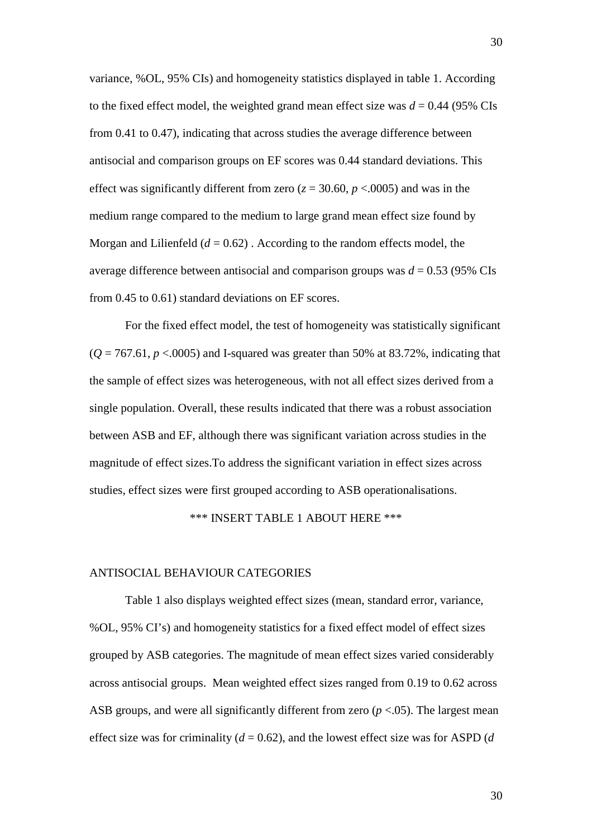variance, %OL, 95% CIs) and homogeneity statistics displayed in table 1. According to the fixed effect model, the weighted grand mean effect size was  $d = 0.44$  (95% CIs from 0.41 to 0.47), indicating that across studies the average difference between antisocial and comparison groups on EF scores was 0.44 standard deviations. This effect was significantly different from zero ( $z = 30.60$ ,  $p < .0005$ ) and was in the medium range compared to the medium to large grand mean effect size found by Morgan and Lilienfeld  $(d = 0.62)$ . According to the random effects model, the average difference between antisocial and comparison groups was *d* = 0.53 (95% CIs from 0.45 to 0.61) standard deviations on EF scores.

For the fixed effect model, the test of homogeneity was statistically significant  $(Q = 767.61, p < .0005)$  and I-squared was greater than 50% at 83.72%, indicating that the sample of effect sizes was heterogeneous, with not all effect sizes derived from a single population. Overall, these results indicated that there was a robust association between ASB and EF, although there was significant variation across studies in the magnitude of effect sizes.To address the significant variation in effect sizes across studies, effect sizes were first grouped according to ASB operationalisations.

## \*\*\* INSERT TABLE 1 ABOUT HERE \*\*\*

### ANTISOCIAL BEHAVIOUR CATEGORIES

Table 1 also displays weighted effect sizes (mean, standard error, variance, %OL, 95% CI's) and homogeneity statistics for a fixed effect model of effect sizes grouped by ASB categories. The magnitude of mean effect sizes varied considerably across antisocial groups. Mean weighted effect sizes ranged from 0.19 to 0.62 across ASB groups, and were all significantly different from zero (*p* <.05). The largest mean effect size was for criminality  $(d = 0.62)$ , and the lowest effect size was for ASPD  $(d)$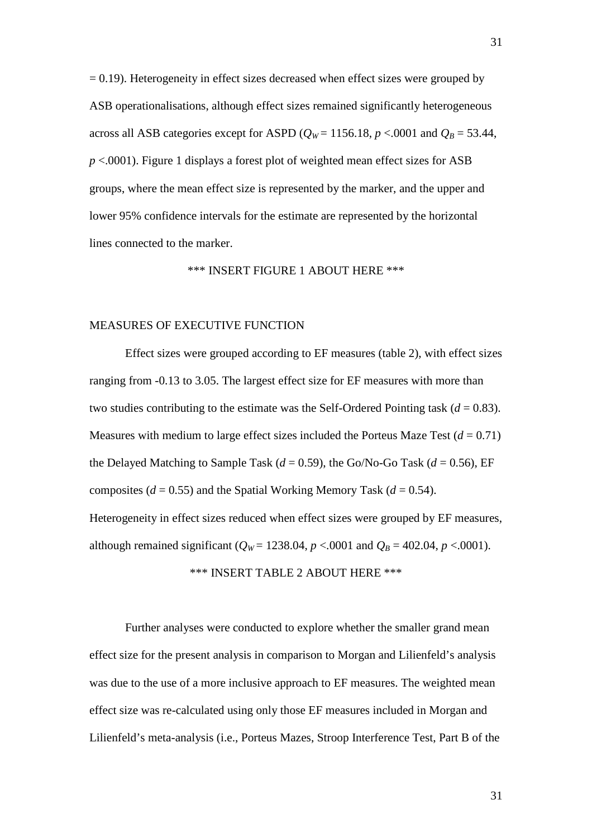$= 0.19$ ). Heterogeneity in effect sizes decreased when effect sizes were grouped by ASB operationalisations, although effect sizes remained significantly heterogeneous across all ASB categories except for ASPD ( $Q_W$  = 1156.18,  $p < 0001$  and  $Q_B$  = 53.44, *p* <.0001). Figure 1 displays a forest plot of weighted mean effect sizes for ASB groups, where the mean effect size is represented by the marker, and the upper and lower 95% confidence intervals for the estimate are represented by the horizontal lines connected to the marker.

# \*\*\* INSERT FIGURE 1 ABOUT HERE \*\*\*

## MEASURES OF EXECUTIVE FUNCTION

Effect sizes were grouped according to EF measures (table 2), with effect sizes ranging from -0.13 to 3.05. The largest effect size for EF measures with more than two studies contributing to the estimate was the Self-Ordered Pointing task  $(d = 0.83)$ . Measures with medium to large effect sizes included the Porteus Maze Test  $(d = 0.71)$ the Delayed Matching to Sample Task ( $d = 0.59$ ), the Go/No-Go Task ( $d = 0.56$ ), EF composites ( $d = 0.55$ ) and the Spatial Working Memory Task ( $d = 0.54$ ). Heterogeneity in effect sizes reduced when effect sizes were grouped by EF measures, although remained significant ( $Q_W$  = 1238.04, *p* <.0001 and  $Q_B$  = 402.04, *p* <.0001).

\*\*\* INSERT TABLE 2 ABOUT HERE \*\*\*

Further analyses were conducted to explore whether the smaller grand mean effect size for the present analysis in comparison to Morgan and Lilienfeld's analysis was due to the use of a more inclusive approach to EF measures. The weighted mean effect size was re-calculated using only those EF measures included in Morgan and Lilienfeld's meta-analysis (i.e., Porteus Mazes, Stroop Interference Test, Part B of the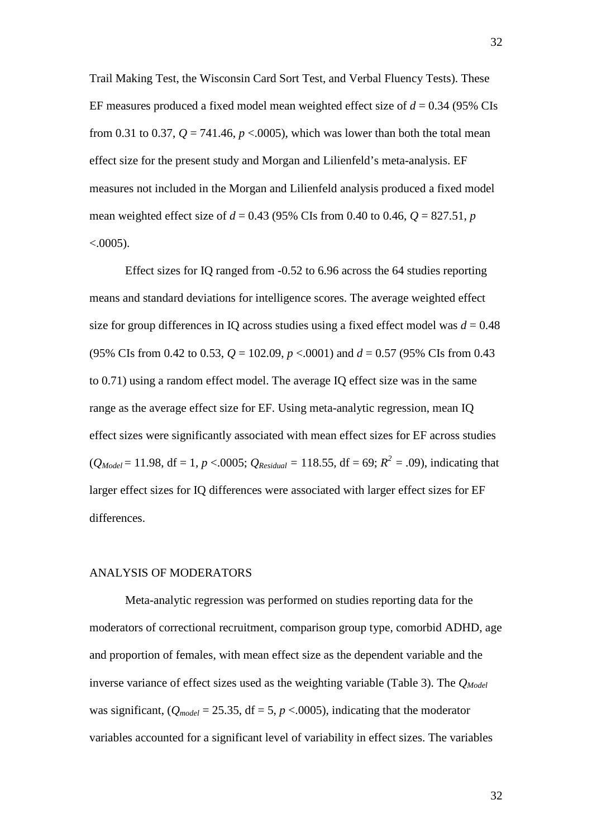Trail Making Test, the Wisconsin Card Sort Test, and Verbal Fluency Tests). These EF measures produced a fixed model mean weighted effect size of *d* = 0.34 (95% CIs from 0.31 to 0.37,  $Q = 741.46$ ,  $p < .0005$ ), which was lower than both the total mean effect size for the present study and Morgan and Lilienfeld's meta-analysis. EF measures not included in the Morgan and Lilienfeld analysis produced a fixed model mean weighted effect size of  $d = 0.43$  (95% CIs from 0.40 to 0.46,  $Q = 827.51$ , *p*  $< .0005$ ).

Effect sizes for IQ ranged from -0.52 to 6.96 across the 64 studies reporting means and standard deviations for intelligence scores. The average weighted effect size for group differences in IQ across studies using a fixed effect model was  $d = 0.48$ (95% CIs from 0.42 to 0.53, *Q* = 102.09, *p* <.0001) and *d* = 0.57 (95% CIs from 0.43 to 0.71) using a random effect model. The average IQ effect size was in the same range as the average effect size for EF. Using meta-analytic regression, mean IQ effect sizes were significantly associated with mean effect sizes for EF across studies  $(Q_{Model} = 11.98, df = 1, p < .0005; Q_{Residual} = 118.55, df = 69; R<sup>2</sup> = .09$ , indicating that larger effect sizes for IQ differences were associated with larger effect sizes for EF differences.

# ANALYSIS OF MODERATORS

Meta-analytic regression was performed on studies reporting data for the moderators of correctional recruitment, comparison group type, comorbid ADHD, age and proportion of females, with mean effect size as the dependent variable and the inverse variance of effect sizes used as the weighting variable (Table 3). The  $Q_{Model}$ was significant,  $(Q_{model} = 25.35, df = 5, p < .0005)$ , indicating that the moderator variables accounted for a significant level of variability in effect sizes. The variables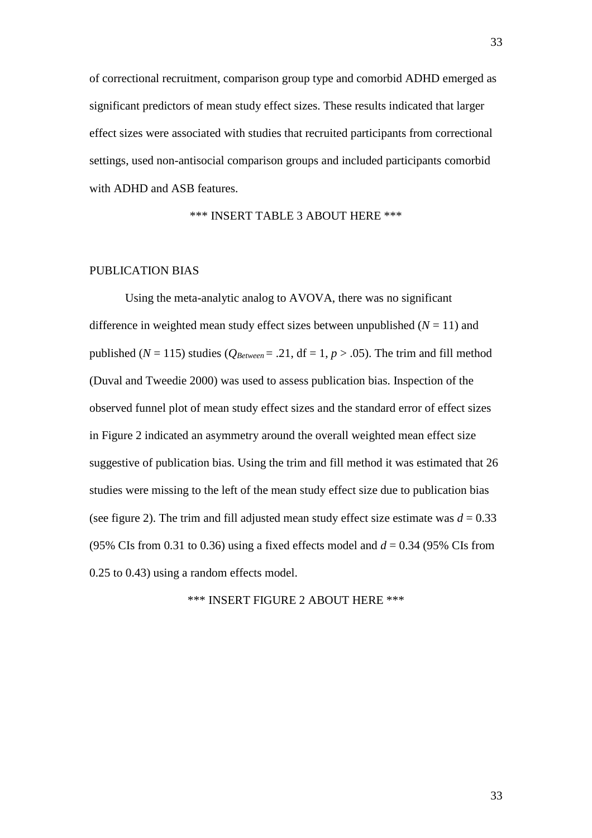of correctional recruitment, comparison group type and comorbid ADHD emerged as significant predictors of mean study effect sizes. These results indicated that larger effect sizes were associated with studies that recruited participants from correctional settings, used non-antisocial comparison groups and included participants comorbid with ADHD and ASB features.

\*\*\* INSERT TABLE 3 ABOUT HERE \*\*\*

# PUBLICATION BIAS

Using the meta-analytic analog to AVOVA, there was no significant difference in weighted mean study effect sizes between unpublished  $(N = 11)$  and published ( $N = 115$ ) studies ( $Q_{Between} = .21$ , df = 1,  $p > .05$ ). The trim and fill method (Duval and Tweedie 2000) was used to assess publication bias. Inspection of the observed funnel plot of mean study effect sizes and the standard error of effect sizes in Figure 2 indicated an asymmetry around the overall weighted mean effect size suggestive of publication bias. Using the trim and fill method it was estimated that 26 studies were missing to the left of the mean study effect size due to publication bias (see figure 2). The trim and fill adjusted mean study effect size estimate was  $d = 0.33$ (95% CIs from 0.31 to 0.36) using a fixed effects model and  $d = 0.34$  (95% CIs from 0.25 to 0.43) using a random effects model.

\*\*\* INSERT FIGURE 2 ABOUT HERE \*\*\*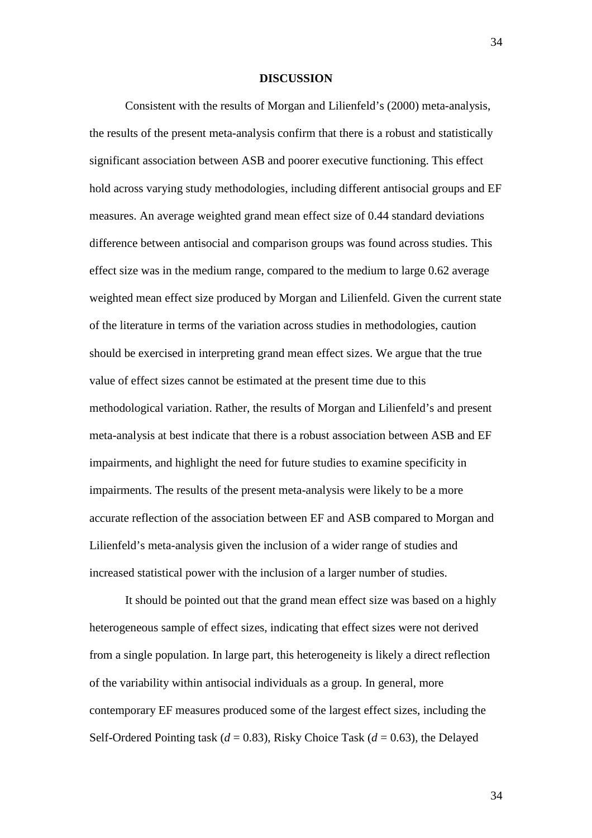#### **DISCUSSION**

Consistent with the results of Morgan and Lilienfeld's (2000) meta-analysis, the results of the present meta-analysis confirm that there is a robust and statistically significant association between ASB and poorer executive functioning. This effect hold across varying study methodologies, including different antisocial groups and EF measures. An average weighted grand mean effect size of 0.44 standard deviations difference between antisocial and comparison groups was found across studies. This effect size was in the medium range, compared to the medium to large 0.62 average weighted mean effect size produced by Morgan and Lilienfeld. Given the current state of the literature in terms of the variation across studies in methodologies, caution should be exercised in interpreting grand mean effect sizes. We argue that the true value of effect sizes cannot be estimated at the present time due to this methodological variation. Rather, the results of Morgan and Lilienfeld's and present meta-analysis at best indicate that there is a robust association between ASB and EF impairments, and highlight the need for future studies to examine specificity in impairments. The results of the present meta-analysis were likely to be a more accurate reflection of the association between EF and ASB compared to Morgan and Lilienfeld's meta-analysis given the inclusion of a wider range of studies and increased statistical power with the inclusion of a larger number of studies.

It should be pointed out that the grand mean effect size was based on a highly heterogeneous sample of effect sizes, indicating that effect sizes were not derived from a single population. In large part, this heterogeneity is likely a direct reflection of the variability within antisocial individuals as a group. In general, more contemporary EF measures produced some of the largest effect sizes, including the Self-Ordered Pointing task (*d* = 0.83), Risky Choice Task (*d* = 0.63), the Delayed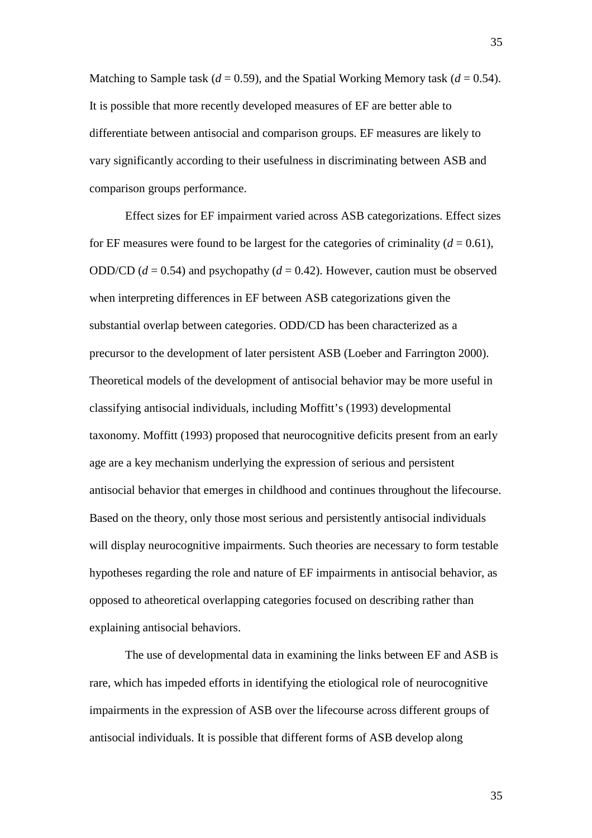Matching to Sample task ( $d = 0.59$ ), and the Spatial Working Memory task ( $d = 0.54$ ). It is possible that more recently developed measures of EF are better able to differentiate between antisocial and comparison groups. EF measures are likely to vary significantly according to their usefulness in discriminating between ASB and comparison groups performance.

Effect sizes for EF impairment varied across ASB categorizations. Effect sizes for EF measures were found to be largest for the categories of criminality  $(d = 0.61)$ , ODD/CD  $(d = 0.54)$  and psychopathy  $(d = 0.42)$ . However, caution must be observed when interpreting differences in EF between ASB categorizations given the substantial overlap between categories. ODD/CD has been characterized as a precursor to the development of later persistent ASB (Loeber and Farrington 2000). Theoretical models of the development of antisocial behavior may be more useful in classifying antisocial individuals, including Moffitt's (1993) developmental taxonomy. Moffitt (1993) proposed that neurocognitive deficits present from an early age are a key mechanism underlying the expression of serious and persistent antisocial behavior that emerges in childhood and continues throughout the lifecourse. Based on the theory, only those most serious and persistently antisocial individuals will display neurocognitive impairments. Such theories are necessary to form testable hypotheses regarding the role and nature of EF impairments in antisocial behavior, as opposed to atheoretical overlapping categories focused on describing rather than explaining antisocial behaviors.

The use of developmental data in examining the links between EF and ASB is rare, which has impeded efforts in identifying the etiological role of neurocognitive impairments in the expression of ASB over the lifecourse across different groups of antisocial individuals. It is possible that different forms of ASB develop along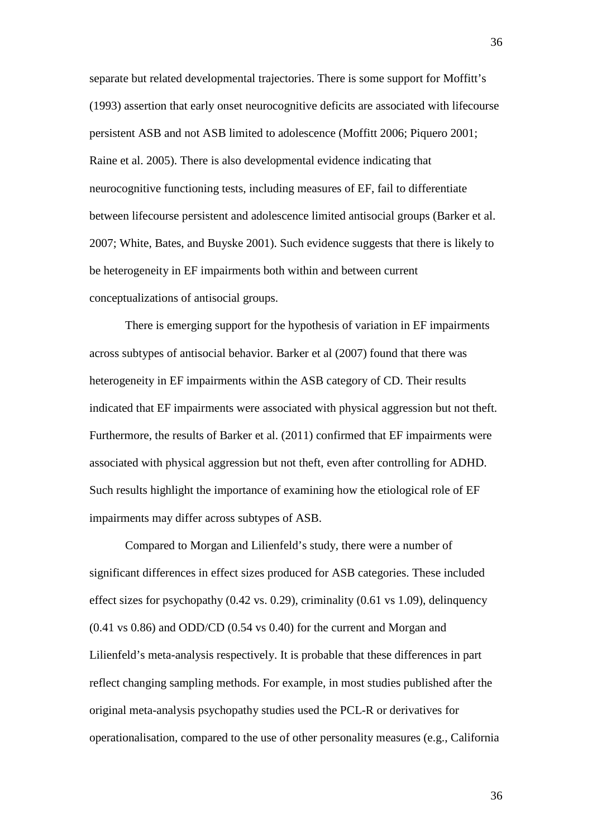separate but related developmental trajectories. There is some support for Moffitt's (1993) assertion that early onset neurocognitive deficits are associated with lifecourse persistent ASB and not ASB limited to adolescence (Moffitt 2006; Piquero 2001; Raine et al. 2005). There is also developmental evidence indicating that neurocognitive functioning tests, including measures of EF, fail to differentiate between lifecourse persistent and adolescence limited antisocial groups (Barker et al. 2007; White, Bates, and Buyske 2001). Such evidence suggests that there is likely to be heterogeneity in EF impairments both within and between current conceptualizations of antisocial groups.

There is emerging support for the hypothesis of variation in EF impairments across subtypes of antisocial behavior. Barker et al (2007) found that there was heterogeneity in EF impairments within the ASB category of CD. Their results indicated that EF impairments were associated with physical aggression but not theft. Furthermore, the results of Barker et al. (2011) confirmed that EF impairments were associated with physical aggression but not theft, even after controlling for ADHD. Such results highlight the importance of examining how the etiological role of EF impairments may differ across subtypes of ASB.

Compared to Morgan and Lilienfeld's study, there were a number of significant differences in effect sizes produced for ASB categories. These included effect sizes for psychopathy (0.42 vs. 0.29), criminality (0.61 vs 1.09), delinquency (0.41 vs 0.86) and ODD/CD (0.54 vs 0.40) for the current and Morgan and Lilienfeld's meta-analysis respectively. It is probable that these differences in part reflect changing sampling methods. For example, in most studies published after the original meta-analysis psychopathy studies used the PCL-R or derivatives for operationalisation, compared to the use of other personality measures (e.g., California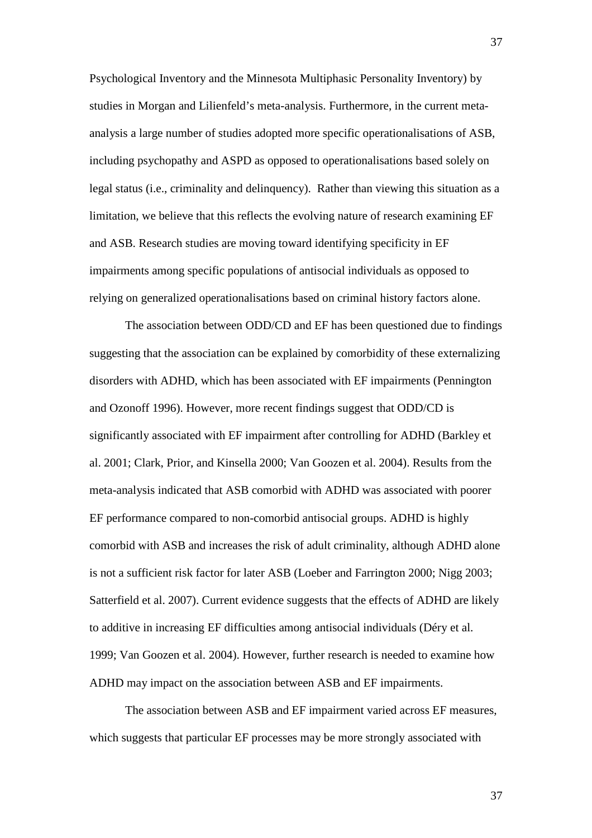Psychological Inventory and the Minnesota Multiphasic Personality Inventory) by studies in Morgan and Lilienfeld's meta-analysis. Furthermore, in the current metaanalysis a large number of studies adopted more specific operationalisations of ASB, including psychopathy and ASPD as opposed to operationalisations based solely on legal status (i.e., criminality and delinquency). Rather than viewing this situation as a limitation, we believe that this reflects the evolving nature of research examining EF and ASB. Research studies are moving toward identifying specificity in EF impairments among specific populations of antisocial individuals as opposed to relying on generalized operationalisations based on criminal history factors alone.

The association between ODD/CD and EF has been questioned due to findings suggesting that the association can be explained by comorbidity of these externalizing disorders with ADHD, which has been associated with EF impairments (Pennington and Ozonoff 1996). However, more recent findings suggest that ODD/CD is significantly associated with EF impairment after controlling for ADHD (Barkley et al. 2001; Clark, Prior, and Kinsella 2000; Van Goozen et al. 2004). Results from the meta-analysis indicated that ASB comorbid with ADHD was associated with poorer EF performance compared to non-comorbid antisocial groups. ADHD is highly comorbid with ASB and increases the risk of adult criminality, although ADHD alone is not a sufficient risk factor for later ASB (Loeber and Farrington 2000; Nigg 2003; Satterfield et al. 2007). Current evidence suggests that the effects of ADHD are likely to additive in increasing EF difficulties among antisocial individuals (Déry et al. 1999; Van Goozen et al. 2004). However, further research is needed to examine how ADHD may impact on the association between ASB and EF impairments.

The association between ASB and EF impairment varied across EF measures, which suggests that particular EF processes may be more strongly associated with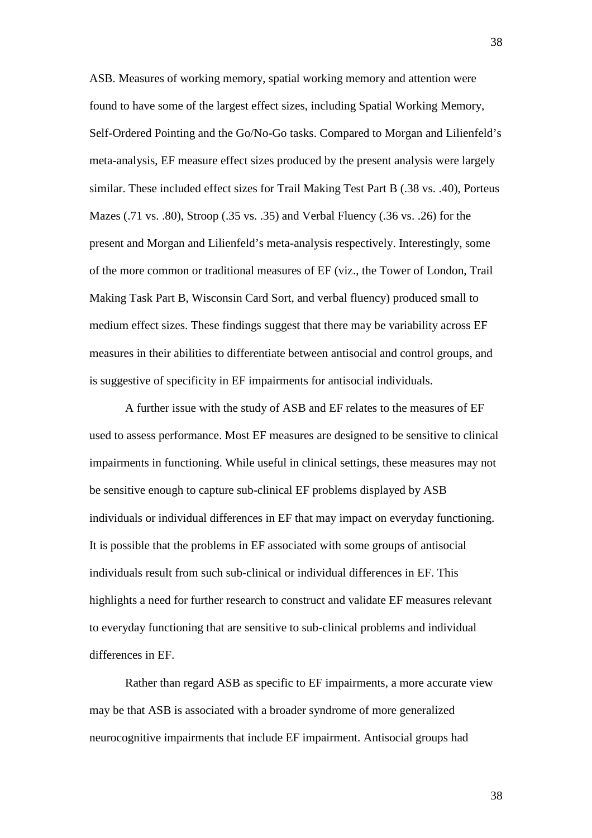ASB. Measures of working memory, spatial working memory and attention were found to have some of the largest effect sizes, including Spatial Working Memory, Self-Ordered Pointing and the Go/No-Go tasks. Compared to Morgan and Lilienfeld's meta-analysis, EF measure effect sizes produced by the present analysis were largely similar. These included effect sizes for Trail Making Test Part B (.38 vs. .40), Porteus Mazes (.71 vs. .80), Stroop (.35 vs. .35) and Verbal Fluency (.36 vs. .26) for the present and Morgan and Lilienfeld's meta-analysis respectively. Interestingly, some of the more common or traditional measures of EF (viz., the Tower of London, Trail Making Task Part B, Wisconsin Card Sort, and verbal fluency) produced small to medium effect sizes. These findings suggest that there may be variability across EF measures in their abilities to differentiate between antisocial and control groups, and is suggestive of specificity in EF impairments for antisocial individuals.

A further issue with the study of ASB and EF relates to the measures of EF used to assess performance. Most EF measures are designed to be sensitive to clinical impairments in functioning. While useful in clinical settings, these measures may not be sensitive enough to capture sub-clinical EF problems displayed by ASB individuals or individual differences in EF that may impact on everyday functioning. It is possible that the problems in EF associated with some groups of antisocial individuals result from such sub-clinical or individual differences in EF. This highlights a need for further research to construct and validate EF measures relevant to everyday functioning that are sensitive to sub-clinical problems and individual differences in EF.

Rather than regard ASB as specific to EF impairments, a more accurate view may be that ASB is associated with a broader syndrome of more generalized neurocognitive impairments that include EF impairment. Antisocial groups had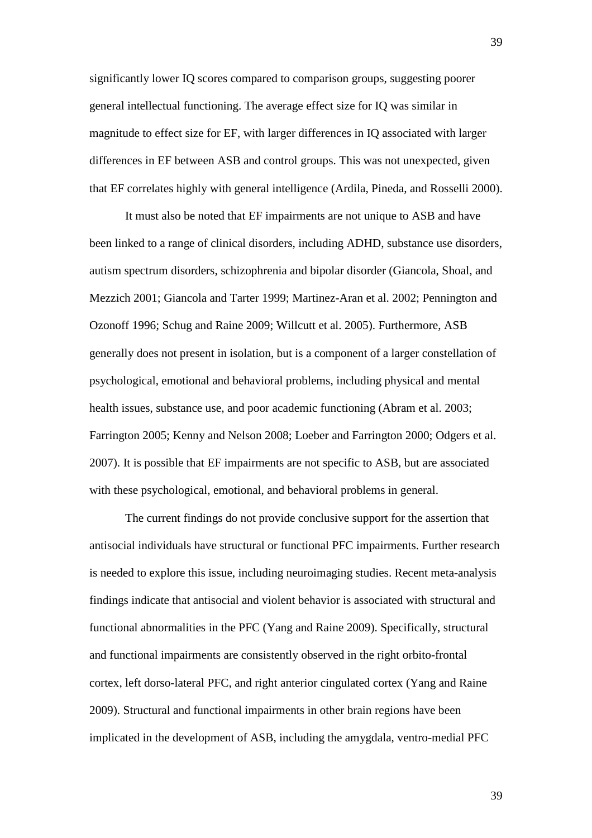significantly lower IQ scores compared to comparison groups, suggesting poorer general intellectual functioning. The average effect size for IQ was similar in magnitude to effect size for EF, with larger differences in IQ associated with larger differences in EF between ASB and control groups. This was not unexpected, given that EF correlates highly with general intelligence (Ardila, Pineda, and Rosselli 2000).

It must also be noted that EF impairments are not unique to ASB and have been linked to a range of clinical disorders, including ADHD, substance use disorders, autism spectrum disorders, schizophrenia and bipolar disorder (Giancola, Shoal, and Mezzich 2001; Giancola and Tarter 1999; Martinez-Aran et al. 2002; Pennington and Ozonoff 1996; Schug and Raine 2009; Willcutt et al. 2005). Furthermore, ASB generally does not present in isolation, but is a component of a larger constellation of psychological, emotional and behavioral problems, including physical and mental health issues, substance use, and poor academic functioning (Abram et al. 2003; Farrington 2005; Kenny and Nelson 2008; Loeber and Farrington 2000; Odgers et al. 2007). It is possible that EF impairments are not specific to ASB, but are associated with these psychological, emotional, and behavioral problems in general.

The current findings do not provide conclusive support for the assertion that antisocial individuals have structural or functional PFC impairments. Further research is needed to explore this issue, including neuroimaging studies. Recent meta-analysis findings indicate that antisocial and violent behavior is associated with structural and functional abnormalities in the PFC (Yang and Raine 2009). Specifically, structural and functional impairments are consistently observed in the right orbito-frontal cortex, left dorso-lateral PFC, and right anterior cingulated cortex (Yang and Raine 2009). Structural and functional impairments in other brain regions have been implicated in the development of ASB, including the amygdala, ventro-medial PFC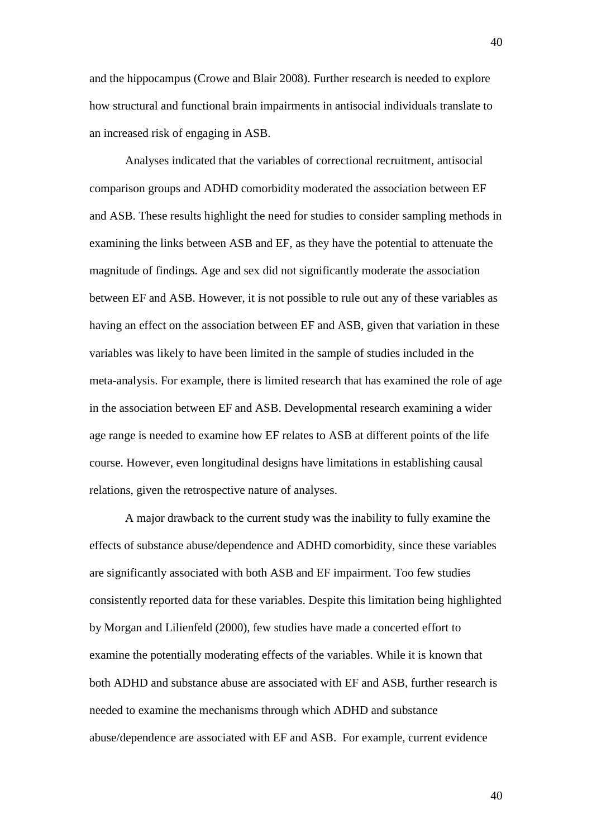and the hippocampus (Crowe and Blair 2008). Further research is needed to explore how structural and functional brain impairments in antisocial individuals translate to an increased risk of engaging in ASB.

Analyses indicated that the variables of correctional recruitment, antisocial comparison groups and ADHD comorbidity moderated the association between EF and ASB. These results highlight the need for studies to consider sampling methods in examining the links between ASB and EF, as they have the potential to attenuate the magnitude of findings. Age and sex did not significantly moderate the association between EF and ASB. However, it is not possible to rule out any of these variables as having an effect on the association between EF and ASB, given that variation in these variables was likely to have been limited in the sample of studies included in the meta-analysis. For example, there is limited research that has examined the role of age in the association between EF and ASB. Developmental research examining a wider age range is needed to examine how EF relates to ASB at different points of the life course. However, even longitudinal designs have limitations in establishing causal relations, given the retrospective nature of analyses.

A major drawback to the current study was the inability to fully examine the effects of substance abuse/dependence and ADHD comorbidity, since these variables are significantly associated with both ASB and EF impairment. Too few studies consistently reported data for these variables. Despite this limitation being highlighted by Morgan and Lilienfeld (2000), few studies have made a concerted effort to examine the potentially moderating effects of the variables. While it is known that both ADHD and substance abuse are associated with EF and ASB, further research is needed to examine the mechanisms through which ADHD and substance abuse/dependence are associated with EF and ASB. For example, current evidence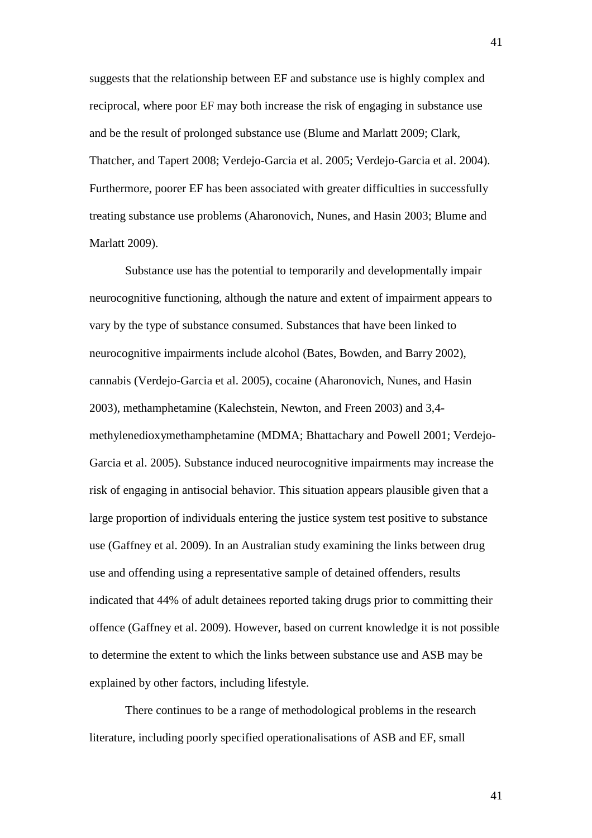suggests that the relationship between EF and substance use is highly complex and reciprocal, where poor EF may both increase the risk of engaging in substance use and be the result of prolonged substance use (Blume and Marlatt 2009; Clark, Thatcher, and Tapert 2008; Verdejo-Garcia et al. 2005; Verdejo-Garcia et al. 2004). Furthermore, poorer EF has been associated with greater difficulties in successfully treating substance use problems (Aharonovich, Nunes, and Hasin 2003; Blume and Marlatt 2009).

Substance use has the potential to temporarily and developmentally impair neurocognitive functioning, although the nature and extent of impairment appears to vary by the type of substance consumed. Substances that have been linked to neurocognitive impairments include alcohol (Bates, Bowden, and Barry 2002), cannabis (Verdejo-Garcia et al. 2005), cocaine (Aharonovich, Nunes, and Hasin 2003), methamphetamine (Kalechstein, Newton, and Freen 2003) and 3,4 methylenedioxymethamphetamine (MDMA; Bhattachary and Powell 2001; Verdejo-Garcia et al. 2005). Substance induced neurocognitive impairments may increase the risk of engaging in antisocial behavior. This situation appears plausible given that a large proportion of individuals entering the justice system test positive to substance use (Gaffney et al. 2009). In an Australian study examining the links between drug use and offending using a representative sample of detained offenders, results indicated that 44% of adult detainees reported taking drugs prior to committing their offence (Gaffney et al. 2009). However, based on current knowledge it is not possible to determine the extent to which the links between substance use and ASB may be explained by other factors, including lifestyle.

There continues to be a range of methodological problems in the research literature, including poorly specified operationalisations of ASB and EF, small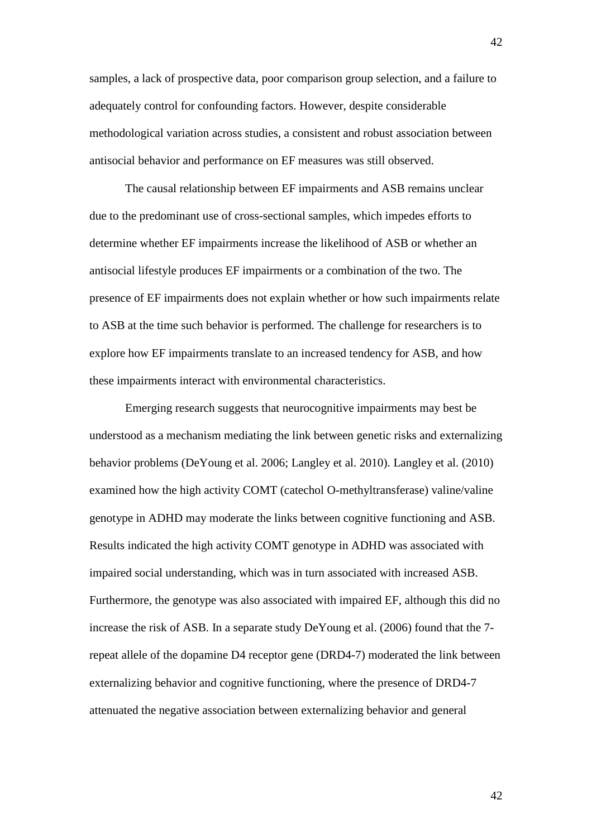samples, a lack of prospective data, poor comparison group selection, and a failure to adequately control for confounding factors. However, despite considerable methodological variation across studies, a consistent and robust association between antisocial behavior and performance on EF measures was still observed.

The causal relationship between EF impairments and ASB remains unclear due to the predominant use of cross-sectional samples, which impedes efforts to determine whether EF impairments increase the likelihood of ASB or whether an antisocial lifestyle produces EF impairments or a combination of the two. The presence of EF impairments does not explain whether or how such impairments relate to ASB at the time such behavior is performed. The challenge for researchers is to explore how EF impairments translate to an increased tendency for ASB, and how these impairments interact with environmental characteristics.

Emerging research suggests that neurocognitive impairments may best be understood as a mechanism mediating the link between genetic risks and externalizing behavior problems (DeYoung et al. 2006; Langley et al. 2010). Langley et al. (2010) examined how the high activity COMT (catechol O-methyltransferase) valine/valine genotype in ADHD may moderate the links between cognitive functioning and ASB. Results indicated the high activity COMT genotype in ADHD was associated with impaired social understanding, which was in turn associated with increased ASB. Furthermore, the genotype was also associated with impaired EF, although this did no increase the risk of ASB. In a separate study DeYoung et al. (2006) found that the 7 repeat allele of the dopamine D4 receptor gene (DRD4-7) moderated the link between externalizing behavior and cognitive functioning, where the presence of DRD4-7 attenuated the negative association between externalizing behavior and general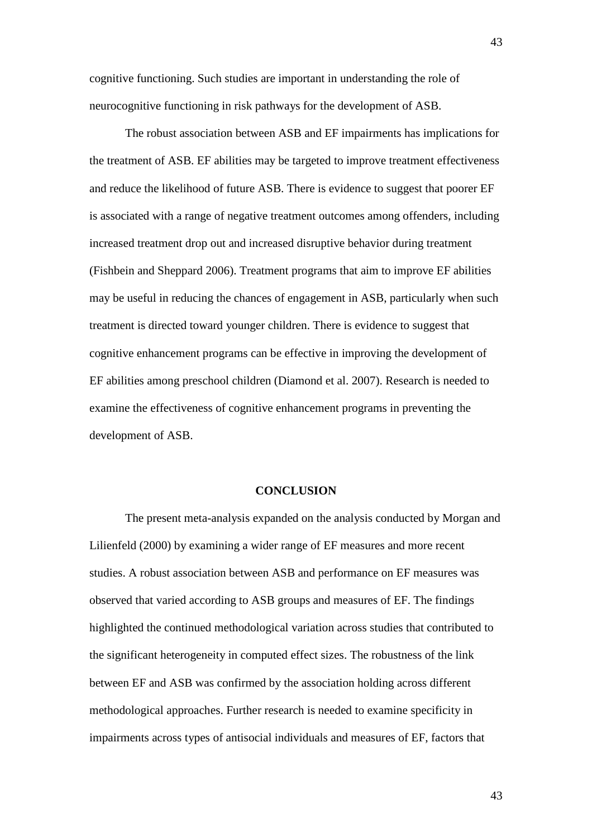cognitive functioning. Such studies are important in understanding the role of neurocognitive functioning in risk pathways for the development of ASB.

The robust association between ASB and EF impairments has implications for the treatment of ASB. EF abilities may be targeted to improve treatment effectiveness and reduce the likelihood of future ASB. There is evidence to suggest that poorer EF is associated with a range of negative treatment outcomes among offenders, including increased treatment drop out and increased disruptive behavior during treatment (Fishbein and Sheppard 2006). Treatment programs that aim to improve EF abilities may be useful in reducing the chances of engagement in ASB, particularly when such treatment is directed toward younger children. There is evidence to suggest that cognitive enhancement programs can be effective in improving the development of EF abilities among preschool children (Diamond et al. 2007). Research is needed to examine the effectiveness of cognitive enhancement programs in preventing the development of ASB.

## **CONCLUSION**

The present meta-analysis expanded on the analysis conducted by Morgan and Lilienfeld (2000) by examining a wider range of EF measures and more recent studies. A robust association between ASB and performance on EF measures was observed that varied according to ASB groups and measures of EF. The findings highlighted the continued methodological variation across studies that contributed to the significant heterogeneity in computed effect sizes. The robustness of the link between EF and ASB was confirmed by the association holding across different methodological approaches. Further research is needed to examine specificity in impairments across types of antisocial individuals and measures of EF, factors that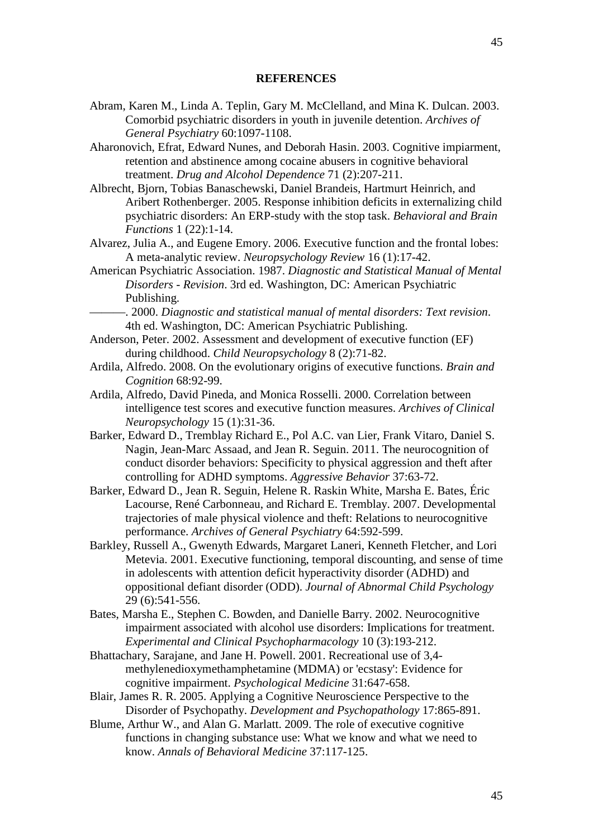# **REFERENCES**

- Abram, Karen M., Linda A. Teplin, Gary M. McClelland, and Mina K. Dulcan. 2003. Comorbid psychiatric disorders in youth in juvenile detention. *Archives of General Psychiatry* 60:1097-1108.
- Aharonovich, Efrat, Edward Nunes, and Deborah Hasin. 2003. Cognitive impiarment, retention and abstinence among cocaine abusers in cognitive behavioral treatment. *Drug and Alcohol Dependence* 71 (2):207-211.
- Albrecht, Bjorn, Tobias Banaschewski, Daniel Brandeis, Hartmurt Heinrich, and Aribert Rothenberger. 2005. Response inhibition deficits in externalizing child psychiatric disorders: An ERP-study with the stop task. *Behavioral and Brain Functions* 1 (22):1-14.
- Alvarez, Julia A., and Eugene Emory. 2006. Executive function and the frontal lobes: A meta-analytic review. *Neuropsychology Review* 16 (1):17-42.
- American Psychiatric Association. 1987. *Diagnostic and Statistical Manual of Mental Disorders - Revision*. 3rd ed. Washington, DC: American Psychiatric Publishing.
	- ———. 2000. *Diagnostic and statistical manual of mental disorders: Text revision*. 4th ed. Washington, DC: American Psychiatric Publishing.
- Anderson, Peter. 2002. Assessment and development of executive function (EF) during childhood. *Child Neuropsychology* 8 (2):71-82.
- Ardila, Alfredo. 2008. On the evolutionary origins of executive functions. *Brain and Cognition* 68:92-99.
- Ardila, Alfredo, David Pineda, and Monica Rosselli. 2000. Correlation between intelligence test scores and executive function measures. *Archives of Clinical Neuropsychology* 15 (1):31-36.
- Barker, Edward D., Tremblay Richard E., Pol A.C. van Lier, Frank Vitaro, Daniel S. Nagin, Jean-Marc Assaad, and Jean R. Seguin. 2011. The neurocognition of conduct disorder behaviors: Specificity to physical aggression and theft after controlling for ADHD symptoms. *Aggressive Behavior* 37:63-72.
- Barker, Edward D., Jean R. Seguin, Helene R. Raskin White, Marsha E. Bates, Éric Lacourse, René Carbonneau, and Richard E. Tremblay. 2007. Developmental trajectories of male physical violence and theft: Relations to neurocognitive performance. *Archives of General Psychiatry* 64:592-599.
- Barkley, Russell A., Gwenyth Edwards, Margaret Laneri, Kenneth Fletcher, and Lori Metevia. 2001. Executive functioning, temporal discounting, and sense of time in adolescents with attention deficit hyperactivity disorder (ADHD) and oppositional defiant disorder (ODD). *Journal of Abnormal Child Psychology* 29 (6):541-556.
- Bates, Marsha E., Stephen C. Bowden, and Danielle Barry. 2002. Neurocognitive impairment associated with alcohol use disorders: Implications for treatment. *Experimental and Clinical Psychopharmacology* 10 (3):193-212.
- Bhattachary, Sarajane, and Jane H. Powell. 2001. Recreational use of 3,4 methylenedioxymethamphetamine (MDMA) or 'ecstasy': Evidence for cognitive impairment. *Psychological Medicine* 31:647-658.
- Blair, James R. R. 2005. Applying a Cognitive Neuroscience Perspective to the Disorder of Psychopathy. *Development and Psychopathology* 17:865-891.
- Blume, Arthur W., and Alan G. Marlatt. 2009. The role of executive cognitive functions in changing substance use: What we know and what we need to know. *Annals of Behavioral Medicine* 37:117-125.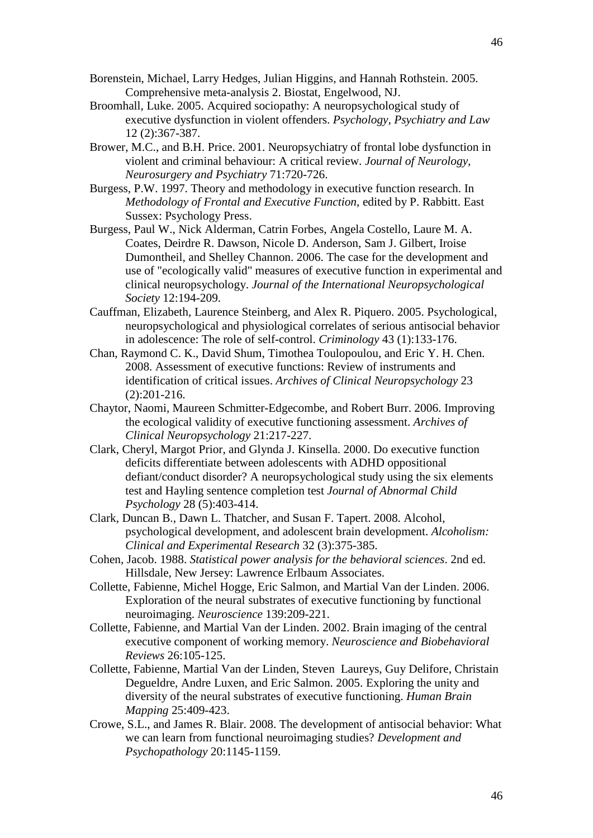- Borenstein, Michael, Larry Hedges, Julian Higgins, and Hannah Rothstein. 2005. Comprehensive meta-analysis 2. Biostat, Engelwood, NJ.
- Broomhall, Luke. 2005. Acquired sociopathy: A neuropsychological study of executive dysfunction in violent offenders. *Psychology, Psychiatry and Law* 12 (2):367-387.
- Brower, M.C., and B.H. Price. 2001. Neuropsychiatry of frontal lobe dysfunction in violent and criminal behaviour: A critical review. *Journal of Neurology, Neurosurgery and Psychiatry* 71:720-726.
- Burgess, P.W. 1997. Theory and methodology in executive function research. In *Methodology of Frontal and Executive Function*, edited by P. Rabbitt. East Sussex: Psychology Press.
- Burgess, Paul W., Nick Alderman, Catrin Forbes, Angela Costello, Laure M. A. Coates, Deirdre R. Dawson, Nicole D. Anderson, Sam J. Gilbert, Iroise Dumontheil, and Shelley Channon. 2006. The case for the development and use of "ecologically valid" measures of executive function in experimental and clinical neuropsychology. *Journal of the International Neuropsychological Society* 12:194-209.
- Cauffman, Elizabeth, Laurence Steinberg, and Alex R. Piquero. 2005. Psychological, neuropsychological and physiological correlates of serious antisocial behavior in adolescence: The role of self-control. *Criminology* 43 (1):133-176.
- Chan, Raymond C. K., David Shum, Timothea Toulopoulou, and Eric Y. H. Chen. 2008. Assessment of executive functions: Review of instruments and identification of critical issues. *Archives of Clinical Neuropsychology* 23 (2):201-216.
- Chaytor, Naomi, Maureen Schmitter-Edgecombe, and Robert Burr. 2006. Improving the ecological validity of executive functioning assessment. *Archives of Clinical Neuropsychology* 21:217-227.
- Clark, Cheryl, Margot Prior, and Glynda J. Kinsella. 2000. Do executive function deficits differentiate between adolescents with ADHD oppositional defiant/conduct disorder? A neuropsychological study using the six elements test and Hayling sentence completion test *Journal of Abnormal Child Psychology* 28 (5):403-414.
- Clark, Duncan B., Dawn L. Thatcher, and Susan F. Tapert. 2008. Alcohol, psychological development, and adolescent brain development. *Alcoholism: Clinical and Experimental Research* 32 (3):375-385.
- Cohen, Jacob. 1988. *Statistical power analysis for the behavioral sciences*. 2nd ed. Hillsdale, New Jersey: Lawrence Erlbaum Associates.
- Collette, Fabienne, Michel Hogge, Eric Salmon, and Martial Van der Linden. 2006. Exploration of the neural substrates of executive functioning by functional neuroimaging. *Neuroscience* 139:209-221.
- Collette, Fabienne, and Martial Van der Linden. 2002. Brain imaging of the central executive component of working memory. *Neuroscience and Biobehavioral Reviews* 26:105-125.
- Collette, Fabienne, Martial Van der Linden, Steven Laureys, Guy Delifore, Christain Degueldre, Andre Luxen, and Eric Salmon. 2005. Exploring the unity and diversity of the neural substrates of executive functioning. *Human Brain Mapping* 25:409-423.
- Crowe, S.L., and James R. Blair. 2008. The development of antisocial behavior: What we can learn from functional neuroimaging studies? *Development and Psychopathology* 20:1145-1159.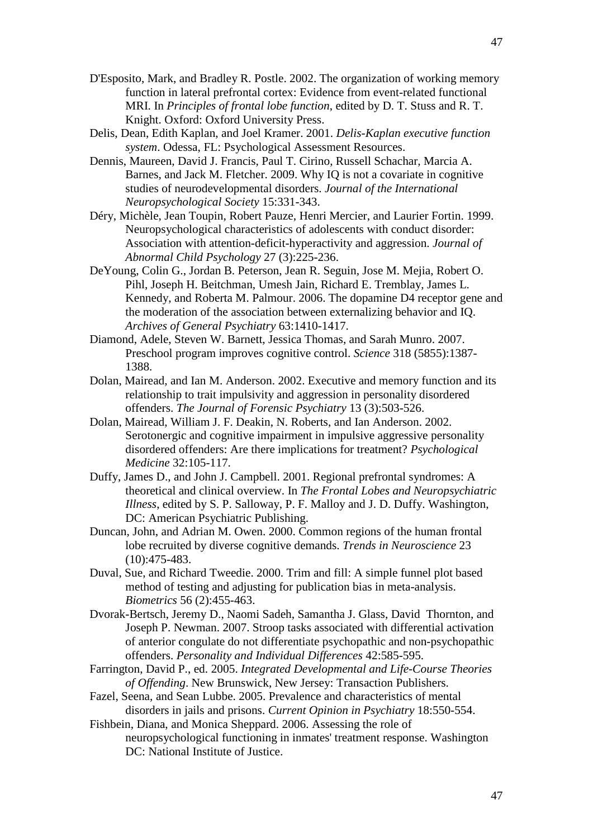- D'Esposito, Mark, and Bradley R. Postle. 2002. The organization of working memory function in lateral prefrontal cortex: Evidence from event-related functional MRI. In *Principles of frontal lobe function*, edited by D. T. Stuss and R. T. Knight. Oxford: Oxford University Press.
- Delis, Dean, Edith Kaplan, and Joel Kramer. 2001. *Delis-Kaplan executive function system*. Odessa, FL: Psychological Assessment Resources.
- Dennis, Maureen, David J. Francis, Paul T. Cirino, Russell Schachar, Marcia A. Barnes, and Jack M. Fletcher. 2009. Why IQ is not a covariate in cognitive studies of neurodevelopmental disorders. *Journal of the International Neuropsychological Society* 15:331-343.
- Déry, Michèle, Jean Toupin, Robert Pauze, Henri Mercier, and Laurier Fortin. 1999. Neuropsychological characteristics of adolescents with conduct disorder: Association with attention-deficit-hyperactivity and aggression. *Journal of Abnormal Child Psychology* 27 (3):225-236.
- DeYoung, Colin G., Jordan B. Peterson, Jean R. Seguin, Jose M. Mejia, Robert O. Pihl, Joseph H. Beitchman, Umesh Jain, Richard E. Tremblay, James L. Kennedy, and Roberta M. Palmour. 2006. The dopamine D4 receptor gene and the moderation of the association between externalizing behavior and IQ. *Archives of General Psychiatry* 63:1410-1417.
- Diamond, Adele, Steven W. Barnett, Jessica Thomas, and Sarah Munro. 2007. Preschool program improves cognitive control. *Science* 318 (5855):1387- 1388.
- Dolan, Mairead, and Ian M. Anderson. 2002. Executive and memory function and its relationship to trait impulsivity and aggression in personality disordered offenders. *The Journal of Forensic Psychiatry* 13 (3):503-526.
- Dolan, Mairead, William J. F. Deakin, N. Roberts, and Ian Anderson. 2002. Serotonergic and cognitive impairment in impulsive aggressive personality disordered offenders: Are there implications for treatment? *Psychological Medicine* 32:105-117.
- Duffy, James D., and John J. Campbell. 2001. Regional prefrontal syndromes: A theoretical and clinical overview. In *The Frontal Lobes and Neuropsychiatric Illness*, edited by S. P. Salloway, P. F. Malloy and J. D. Duffy. Washington, DC: American Psychiatric Publishing.
- Duncan, John, and Adrian M. Owen. 2000. Common regions of the human frontal lobe recruited by diverse cognitive demands. *Trends in Neuroscience* 23 (10):475-483.
- Duval, Sue, and Richard Tweedie. 2000. Trim and fill: A simple funnel plot based method of testing and adjusting for publication bias in meta-analysis. *Biometrics* 56 (2):455-463.
- Dvorak-Bertsch, Jeremy D., Naomi Sadeh, Samantha J. Glass, David Thornton, and Joseph P. Newman. 2007. Stroop tasks associated with differential activation of anterior congulate do not differentiate psychopathic and non-psychopathic offenders. *Personality and Individual Differences* 42:585-595.
- Farrington, David P., ed. 2005. *Integrated Developmental and Life-Course Theories of Offending*. New Brunswick, New Jersey: Transaction Publishers.
- Fazel, Seena, and Sean Lubbe. 2005. Prevalence and characteristics of mental disorders in jails and prisons. *Current Opinion in Psychiatry* 18:550-554.
- Fishbein, Diana, and Monica Sheppard. 2006. Assessing the role of neuropsychological functioning in inmates' treatment response. Washington DC: National Institute of Justice.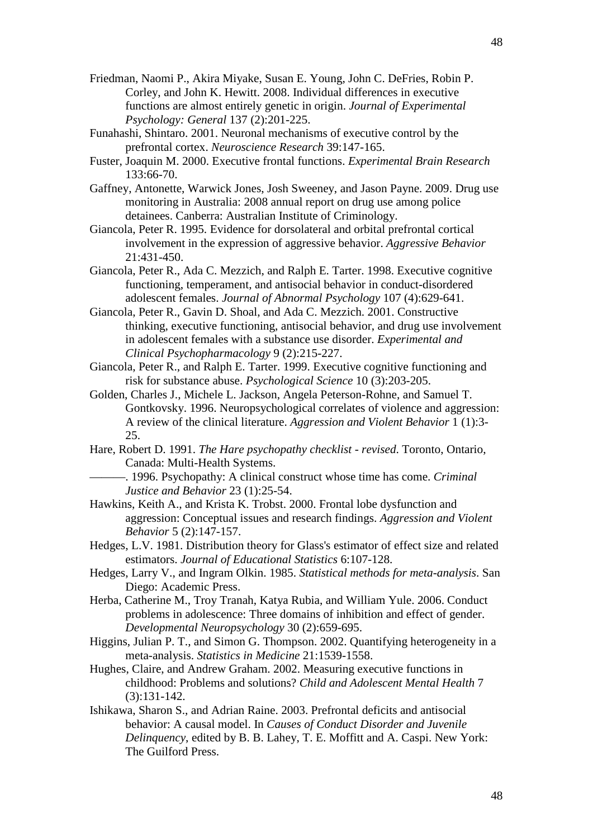- Friedman, Naomi P., Akira Miyake, Susan E. Young, John C. DeFries, Robin P. Corley, and John K. Hewitt. 2008. Individual differences in executive functions are almost entirely genetic in origin. *Journal of Experimental Psychology: General* 137 (2):201-225.
- Funahashi, Shintaro. 2001. Neuronal mechanisms of executive control by the prefrontal cortex. *Neuroscience Research* 39:147-165.
- Fuster, Joaquin M. 2000. Executive frontal functions. *Experimental Brain Research* 133:66-70.
- Gaffney, Antonette, Warwick Jones, Josh Sweeney, and Jason Payne. 2009. Drug use monitoring in Australia: 2008 annual report on drug use among police detainees. Canberra: Australian Institute of Criminology.
- Giancola, Peter R. 1995. Evidence for dorsolateral and orbital prefrontal cortical involvement in the expression of aggressive behavior. *Aggressive Behavior* 21:431-450.
- Giancola, Peter R., Ada C. Mezzich, and Ralph E. Tarter. 1998. Executive cognitive functioning, temperament, and antisocial behavior in conduct-disordered adolescent females. *Journal of Abnormal Psychology* 107 (4):629-641.
- Giancola, Peter R., Gavin D. Shoal, and Ada C. Mezzich. 2001. Constructive thinking, executive functioning, antisocial behavior, and drug use involvement in adolescent females with a substance use disorder. *Experimental and Clinical Psychopharmacology* 9 (2):215-227.
- Giancola, Peter R., and Ralph E. Tarter. 1999. Executive cognitive functioning and risk for substance abuse. *Psychological Science* 10 (3):203-205.
- Golden, Charles J., Michele L. Jackson, Angela Peterson-Rohne, and Samuel T. Gontkovsky. 1996. Neuropsychological correlates of violence and aggression: A review of the clinical literature. *Aggression and Violent Behavior* 1 (1):3- 25.
- Hare, Robert D. 1991. *The Hare psychopathy checklist - revised*. Toronto, Ontario, Canada: Multi-Health Systems.
	- ———. 1996. Psychopathy: A clinical construct whose time has come. *Criminal Justice and Behavior* 23 (1):25-54.
- Hawkins, Keith A., and Krista K. Trobst. 2000. Frontal lobe dysfunction and aggression: Conceptual issues and research findings. *Aggression and Violent Behavior* 5 (2):147-157.
- Hedges, L.V. 1981. Distribution theory for Glass's estimator of effect size and related estimators. *Journal of Educational Statistics* 6:107-128.
- Hedges, Larry V., and Ingram Olkin. 1985. *Statistical methods for meta-analysis*. San Diego: Academic Press.
- Herba, Catherine M., Troy Tranah, Katya Rubia, and William Yule. 2006. Conduct problems in adolescence: Three domains of inhibition and effect of gender. *Developmental Neuropsychology* 30 (2):659-695.
- Higgins, Julian P. T., and Simon G. Thompson. 2002. Quantifying heterogeneity in a meta-analysis. *Statistics in Medicine* 21:1539-1558.
- Hughes, Claire, and Andrew Graham. 2002. Measuring executive functions in childhood: Problems and solutions? *Child and Adolescent Mental Health* 7 (3):131-142.
- Ishikawa, Sharon S., and Adrian Raine. 2003. Prefrontal deficits and antisocial behavior: A causal model. In *Causes of Conduct Disorder and Juvenile Delinquency*, edited by B. B. Lahey, T. E. Moffitt and A. Caspi. New York: The Guilford Press.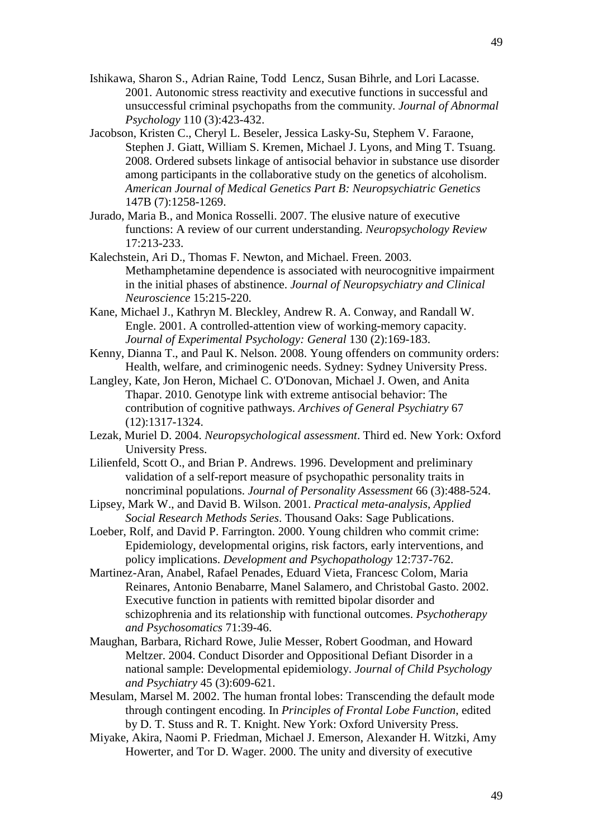- Ishikawa, Sharon S., Adrian Raine, Todd Lencz, Susan Bihrle, and Lori Lacasse. 2001. Autonomic stress reactivity and executive functions in successful and unsuccessful criminal psychopaths from the community. *Journal of Abnormal Psychology* 110 (3):423-432.
- Jacobson, Kristen C., Cheryl L. Beseler, Jessica Lasky-Su, Stephem V. Faraone, Stephen J. Giatt, William S. Kremen, Michael J. Lyons, and Ming T. Tsuang. 2008. Ordered subsets linkage of antisocial behavior in substance use disorder among participants in the collaborative study on the genetics of alcoholism. *American Journal of Medical Genetics Part B: Neuropsychiatric Genetics* 147B (7):1258-1269.
- Jurado, Maria B., and Monica Rosselli. 2007. The elusive nature of executive functions: A review of our current understanding. *Neuropsychology Review* 17:213-233.
- Kalechstein, Ari D., Thomas F. Newton, and Michael. Freen. 2003. Methamphetamine dependence is associated with neurocognitive impairment in the initial phases of abstinence. *Journal of Neuropsychiatry and Clinical Neuroscience* 15:215-220.
- Kane, Michael J., Kathryn M. Bleckley, Andrew R. A. Conway, and Randall W. Engle. 2001. A controlled-attention view of working-memory capacity. *Journal of Experimental Psychology: General* 130 (2):169-183.
- Kenny, Dianna T., and Paul K. Nelson. 2008. Young offenders on community orders: Health, welfare, and criminogenic needs. Sydney: Sydney University Press.
- Langley, Kate, Jon Heron, Michael C. O'Donovan, Michael J. Owen, and Anita Thapar. 2010. Genotype link with extreme antisocial behavior: The contribution of cognitive pathways. *Archives of General Psychiatry* 67 (12):1317-1324.
- Lezak, Muriel D. 2004. *Neuropsychological assessment*. Third ed. New York: Oxford University Press.
- Lilienfeld, Scott O., and Brian P. Andrews. 1996. Development and preliminary validation of a self-report measure of psychopathic personality traits in noncriminal populations. *Journal of Personality Assessment* 66 (3):488-524.
- Lipsey, Mark W., and David B. Wilson. 2001. *Practical meta-analysis*, *Applied Social Research Methods Series*. Thousand Oaks: Sage Publications.
- Loeber, Rolf, and David P. Farrington. 2000. Young children who commit crime: Epidemiology, developmental origins, risk factors, early interventions, and policy implications. *Development and Psychopathology* 12:737-762.
- Martinez-Aran, Anabel, Rafael Penades, Eduard Vieta, Francesc Colom, Maria Reinares, Antonio Benabarre, Manel Salamero, and Christobal Gasto. 2002. Executive function in patients with remitted bipolar disorder and schizophrenia and its relationship with functional outcomes. *Psychotherapy and Psychosomatics* 71:39-46.
- Maughan, Barbara, Richard Rowe, Julie Messer, Robert Goodman, and Howard Meltzer. 2004. Conduct Disorder and Oppositional Defiant Disorder in a national sample: Developmental epidemiology. *Journal of Child Psychology and Psychiatry* 45 (3):609-621.
- Mesulam, Marsel M. 2002. The human frontal lobes: Transcending the default mode through contingent encoding. In *Principles of Frontal Lobe Function*, edited by D. T. Stuss and R. T. Knight. New York: Oxford University Press.
- Miyake, Akira, Naomi P. Friedman, Michael J. Emerson, Alexander H. Witzki, Amy Howerter, and Tor D. Wager. 2000. The unity and diversity of executive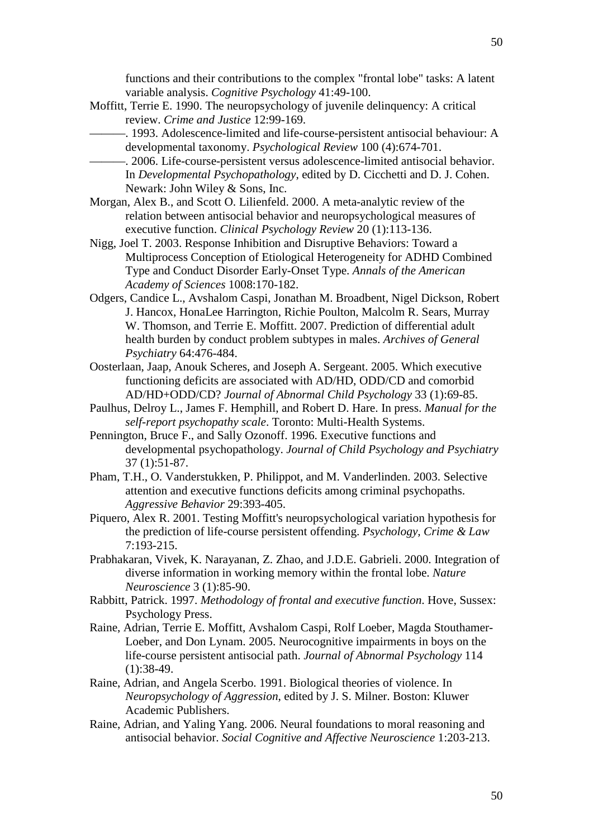functions and their contributions to the complex "frontal lobe" tasks: A latent variable analysis. *Cognitive Psychology* 41:49-100.

- Moffitt, Terrie E. 1990. The neuropsychology of juvenile delinquency: A critical review. *Crime and Justice* 12:99-169.
	- ———. 1993. Adolescence-limited and life-course-persistent antisocial behaviour: A developmental taxonomy. *Psychological Review* 100 (4):674-701.
	- -. 2006. Life-course-persistent versus adolescence-limited antisocial behavior. In *Developmental Psychopathology*, edited by D. Cicchetti and D. J. Cohen. Newark: John Wiley & Sons, Inc.
- Morgan, Alex B., and Scott O. Lilienfeld. 2000. A meta-analytic review of the relation between antisocial behavior and neuropsychological measures of executive function. *Clinical Psychology Review* 20 (1):113-136.
- Nigg, Joel T. 2003. Response Inhibition and Disruptive Behaviors: Toward a Multiprocess Conception of Etiological Heterogeneity for ADHD Combined Type and Conduct Disorder Early-Onset Type. *Annals of the American Academy of Sciences* 1008:170-182.
- Odgers, Candice L., Avshalom Caspi, Jonathan M. Broadbent, Nigel Dickson, Robert J. Hancox, HonaLee Harrington, Richie Poulton, Malcolm R. Sears, Murray W. Thomson, and Terrie E. Moffitt. 2007. Prediction of differential adult health burden by conduct problem subtypes in males. *Archives of General Psychiatry* 64:476-484.
- Oosterlaan, Jaap, Anouk Scheres, and Joseph A. Sergeant. 2005. Which executive functioning deficits are associated with AD/HD, ODD/CD and comorbid AD/HD+ODD/CD? *Journal of Abnormal Child Psychology* 33 (1):69-85.
- Paulhus, Delroy L., James F. Hemphill, and Robert D. Hare. In press. *Manual for the self-report psychopathy scale*. Toronto: Multi-Health Systems.
- Pennington, Bruce F., and Sally Ozonoff. 1996. Executive functions and developmental psychopathology. *Journal of Child Psychology and Psychiatry* 37 (1):51-87.
- Pham, T.H., O. Vanderstukken, P. Philippot, and M. Vanderlinden. 2003. Selective attention and executive functions deficits among criminal psychopaths. *Aggressive Behavior* 29:393-405.
- Piquero, Alex R. 2001. Testing Moffitt's neuropsychological variation hypothesis for the prediction of life-course persistent offending. *Psychology, Crime & Law* 7:193-215.
- Prabhakaran, Vivek, K. Narayanan, Z. Zhao, and J.D.E. Gabrieli. 2000. Integration of diverse information in working memory within the frontal lobe. *Nature Neuroscience* 3 (1):85-90.
- Rabbitt, Patrick. 1997. *Methodology of frontal and executive function*. Hove, Sussex: Psychology Press.
- Raine, Adrian, Terrie E. Moffitt, Avshalom Caspi, Rolf Loeber, Magda Stouthamer-Loeber, and Don Lynam. 2005. Neurocognitive impairments in boys on the life-course persistent antisocial path. *Journal of Abnormal Psychology* 114 (1):38-49.
- Raine, Adrian, and Angela Scerbo. 1991. Biological theories of violence. In *Neuropsychology of Aggression*, edited by J. S. Milner. Boston: Kluwer Academic Publishers.
- Raine, Adrian, and Yaling Yang. 2006. Neural foundations to moral reasoning and antisocial behavior. *Social Cognitive and Affective Neuroscience* 1:203-213.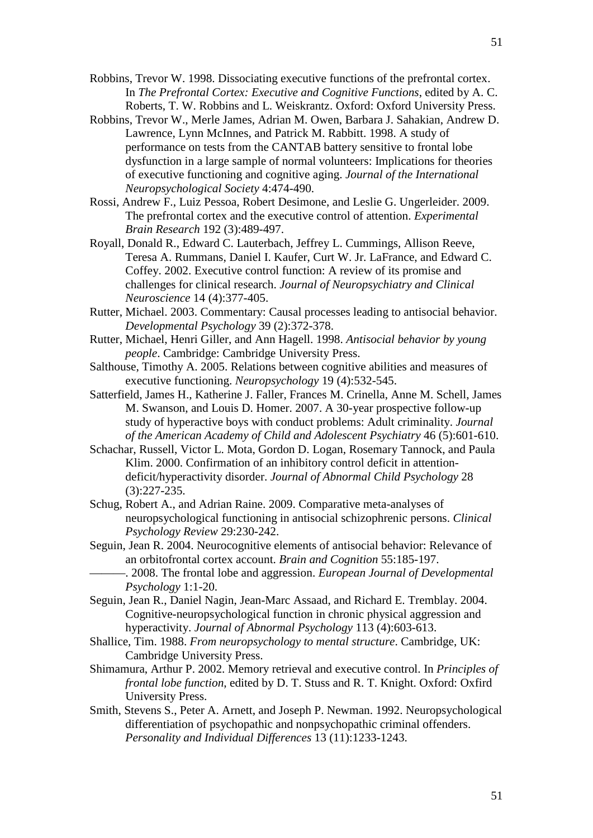- Robbins, Trevor W. 1998. Dissociating executive functions of the prefrontal cortex. In *The Prefrontal Cortex: Executive and Cognitive Functions*, edited by A. C. Roberts, T. W. Robbins and L. Weiskrantz. Oxford: Oxford University Press.
- Robbins, Trevor W., Merle James, Adrian M. Owen, Barbara J. Sahakian, Andrew D. Lawrence, Lynn McInnes, and Patrick M. Rabbitt. 1998. A study of performance on tests from the CANTAB battery sensitive to frontal lobe dysfunction in a large sample of normal volunteers: Implications for theories of executive functioning and cognitive aging. *Journal of the International Neuropsychological Society* 4:474-490.
- Rossi, Andrew F., Luiz Pessoa, Robert Desimone, and Leslie G. Ungerleider. 2009. The prefrontal cortex and the executive control of attention. *Experimental Brain Research* 192 (3):489-497.
- Royall, Donald R., Edward C. Lauterbach, Jeffrey L. Cummings, Allison Reeve, Teresa A. Rummans, Daniel I. Kaufer, Curt W. Jr. LaFrance, and Edward C. Coffey. 2002. Executive control function: A review of its promise and challenges for clinical research. *Journal of Neuropsychiatry and Clinical Neuroscience* 14 (4):377-405.
- Rutter, Michael. 2003. Commentary: Causal processes leading to antisocial behavior. *Developmental Psychology* 39 (2):372-378.
- Rutter, Michael, Henri Giller, and Ann Hagell. 1998. *Antisocial behavior by young people*. Cambridge: Cambridge University Press.
- Salthouse, Timothy A. 2005. Relations between cognitive abilities and measures of executive functioning. *Neuropsychology* 19 (4):532-545.
- Satterfield, James H., Katherine J. Faller, Frances M. Crinella, Anne M. Schell, James M. Swanson, and Louis D. Homer. 2007. A 30-year prospective follow-up study of hyperactive boys with conduct problems: Adult criminality. *Journal of the American Academy of Child and Adolescent Psychiatry* 46 (5):601-610.
- Schachar, Russell, Victor L. Mota, Gordon D. Logan, Rosemary Tannock, and Paula Klim. 2000. Confirmation of an inhibitory control deficit in attentiondeficit/hyperactivity disorder. *Journal of Abnormal Child Psychology* 28 (3):227-235.
- Schug, Robert A., and Adrian Raine. 2009. Comparative meta-analyses of neuropsychological functioning in antisocial schizophrenic persons. *Clinical Psychology Review* 29:230-242.
- Seguin, Jean R. 2004. Neurocognitive elements of antisocial behavior: Relevance of an orbitofrontal cortex account. *Brain and Cognition* 55:185-197.

———. 2008. The frontal lobe and aggression. *European Journal of Developmental Psychology* 1:1-20.

- Seguin, Jean R., Daniel Nagin, Jean-Marc Assaad, and Richard E. Tremblay. 2004. Cognitive-neuropsychological function in chronic physical aggression and hyperactivity. *Journal of Abnormal Psychology* 113 (4):603-613.
- Shallice, Tim. 1988. *From neuropsychology to mental structure*. Cambridge, UK: Cambridge University Press.
- Shimamura, Arthur P. 2002. Memory retrieval and executive control. In *Principles of frontal lobe function*, edited by D. T. Stuss and R. T. Knight. Oxford: Oxfird University Press.
- Smith, Stevens S., Peter A. Arnett, and Joseph P. Newman. 1992. Neuropsychological differentiation of psychopathic and nonpsychopathic criminal offenders. *Personality and Individual Differences* 13 (11):1233-1243.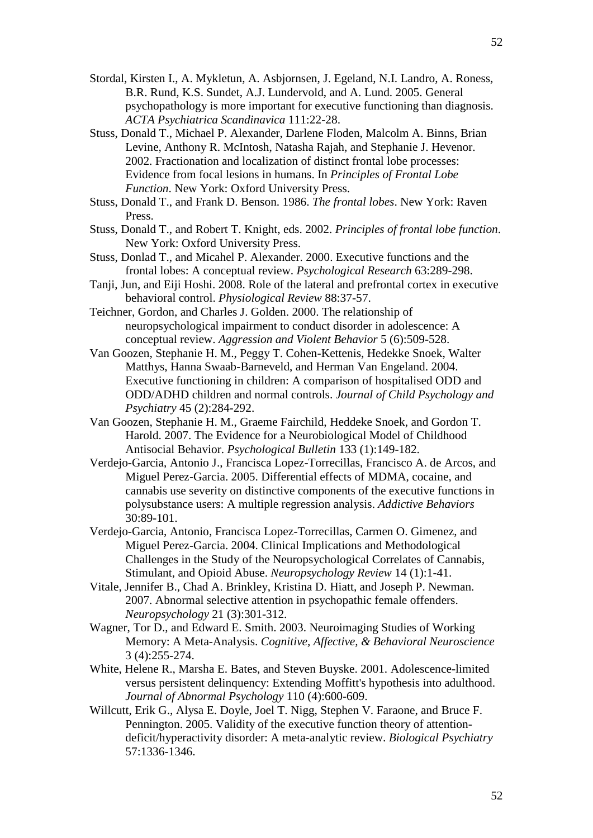- Stordal, Kirsten I., A. Mykletun, A. Asbjornsen, J. Egeland, N.I. Landro, A. Roness, B.R. Rund, K.S. Sundet, A.J. Lundervold, and A. Lund. 2005. General psychopathology is more important for executive functioning than diagnosis. *ACTA Psychiatrica Scandinavica* 111:22-28.
- Stuss, Donald T., Michael P. Alexander, Darlene Floden, Malcolm A. Binns, Brian Levine, Anthony R. McIntosh, Natasha Rajah, and Stephanie J. Hevenor. 2002. Fractionation and localization of distinct frontal lobe processes: Evidence from focal lesions in humans. In *Principles of Frontal Lobe Function*. New York: Oxford University Press.
- Stuss, Donald T., and Frank D. Benson. 1986. *The frontal lobes*. New York: Raven Press.
- Stuss, Donald T., and Robert T. Knight, eds. 2002. *Principles of frontal lobe function*. New York: Oxford University Press.
- Stuss, Donlad T., and Micahel P. Alexander. 2000. Executive functions and the frontal lobes: A conceptual review. *Psychological Research* 63:289-298.
- Tanji, Jun, and Eiji Hoshi. 2008. Role of the lateral and prefrontal cortex in executive behavioral control. *Physiological Review* 88:37-57.
- Teichner, Gordon, and Charles J. Golden. 2000. The relationship of neuropsychological impairment to conduct disorder in adolescence: A conceptual review. *Aggression and Violent Behavior* 5 (6):509-528.
- Van Goozen, Stephanie H. M., Peggy T. Cohen-Kettenis, Hedekke Snoek, Walter Matthys, Hanna Swaab-Barneveld, and Herman Van Engeland. 2004. Executive functioning in children: A comparison of hospitalised ODD and ODD/ADHD children and normal controls. *Journal of Child Psychology and Psychiatry* 45 (2):284-292.
- Van Goozen, Stephanie H. M., Graeme Fairchild, Heddeke Snoek, and Gordon T. Harold. 2007. The Evidence for a Neurobiological Model of Childhood Antisocial Behavior. *Psychological Bulletin* 133 (1):149-182.
- Verdejo-Garcia, Antonio J., Francisca Lopez-Torrecillas, Francisco A. de Arcos, and Miguel Perez-Garcia. 2005. Differential effects of MDMA, cocaine, and cannabis use severity on distinctive components of the executive functions in polysubstance users: A multiple regression analysis. *Addictive Behaviors* 30:89-101.
- Verdejo-Garcia, Antonio, Francisca Lopez-Torrecillas, Carmen O. Gimenez, and Miguel Perez-Garcia. 2004. Clinical Implications and Methodological Challenges in the Study of the Neuropsychological Correlates of Cannabis, Stimulant, and Opioid Abuse. *Neuropsychology Review* 14 (1):1-41.
- Vitale, Jennifer B., Chad A. Brinkley, Kristina D. Hiatt, and Joseph P. Newman. 2007. Abnormal selective attention in psychopathic female offenders. *Neuropsychology* 21 (3):301-312.
- Wagner, Tor D., and Edward E. Smith. 2003. Neuroimaging Studies of Working Memory: A Meta-Analysis. *Cognitive, Affective, & Behavioral Neuroscience* 3 (4):255-274.
- White, Helene R., Marsha E. Bates, and Steven Buyske. 2001. Adolescence-limited versus persistent delinquency: Extending Moffitt's hypothesis into adulthood. *Journal of Abnormal Psychology* 110 (4):600-609.
- Willcutt, Erik G., Alysa E. Doyle, Joel T. Nigg, Stephen V. Faraone, and Bruce F. Pennington. 2005. Validity of the executive function theory of attentiondeficit/hyperactivity disorder: A meta-analytic review. *Biological Psychiatry* 57:1336-1346.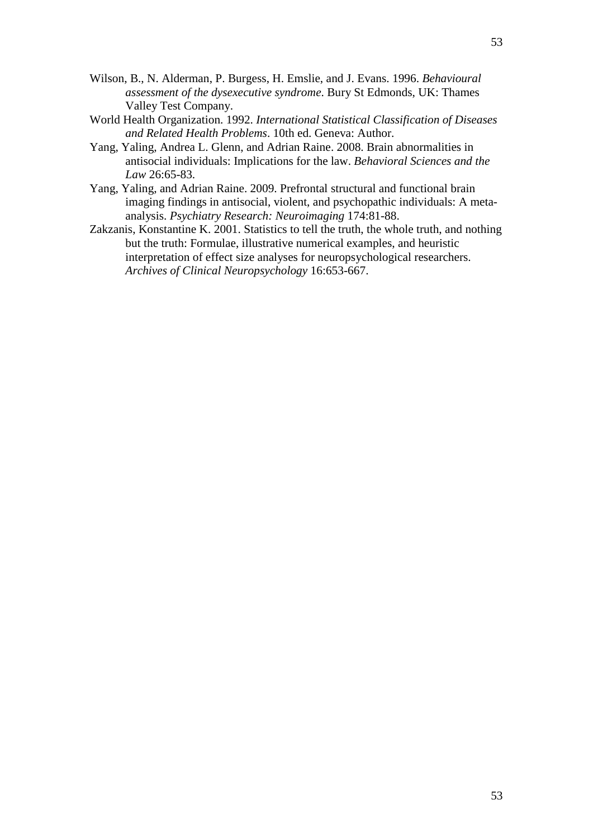- Wilson, B., N. Alderman, P. Burgess, H. Emslie, and J. Evans. 1996. *Behavioural assessment of the dysexecutive syndrome*. Bury St Edmonds, UK: Thames Valley Test Company.
- World Health Organization. 1992. *International Statistical Classification of Diseases and Related Health Problems*. 10th ed. Geneva: Author.
- Yang, Yaling, Andrea L. Glenn, and Adrian Raine. 2008. Brain abnormalities in antisocial individuals: Implications for the law. *Behavioral Sciences and the Law* 26:65-83.
- Yang, Yaling, and Adrian Raine. 2009. Prefrontal structural and functional brain imaging findings in antisocial, violent, and psychopathic individuals: A metaanalysis. *Psychiatry Research: Neuroimaging* 174:81-88.
- Zakzanis, Konstantine K. 2001. Statistics to tell the truth, the whole truth, and nothing but the truth: Formulae, illustrative numerical examples, and heuristic interpretation of effect size analyses for neuropsychological researchers. *Archives of Clinical Neuropsychology* 16:653-667.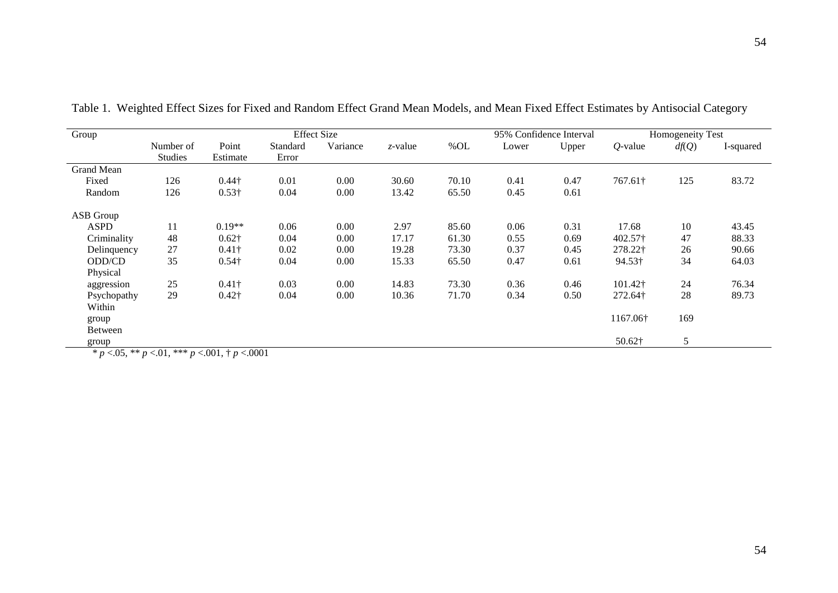| Group             | <b>Effect Size</b> |               |          |          | 95% Confidence Interval | Homogeneity Test |       |       |            |       |           |
|-------------------|--------------------|---------------|----------|----------|-------------------------|------------------|-------|-------|------------|-------|-----------|
|                   | Number of          | Point         | Standard | Variance | $z$ -value              | %OL              | Lower | Upper | $Q$ -value | df(Q) | I-squared |
|                   | <b>Studies</b>     | Estimate      | Error    |          |                         |                  |       |       |            |       |           |
| <b>Grand Mean</b> |                    |               |          |          |                         |                  |       |       |            |       |           |
| Fixed             | 126                | $0.44\dagger$ | 0.01     | 0.00     | 30.60                   | 70.10            | 0.41  | 0.47  | 767.61†    | 125   | 83.72     |
| Random            | 126                | $0.53\dagger$ | 0.04     | 0.00     | 13.42                   | 65.50            | 0.45  | 0.61  |            |       |           |
| ASB Group         |                    |               |          |          |                         |                  |       |       |            |       |           |
| ASPD              | 11                 | $0.19**$      | 0.06     | 0.00     | 2.97                    | 85.60            | 0.06  | 0.31  | 17.68      | 10    | 43.45     |
| Criminality       | 48                 | $0.62\dagger$ | 0.04     | 0.00     | 17.17                   | 61.30            | 0.55  | 0.69  | 402.57†    | 47    | 88.33     |
| Delinquency       | 27                 | $0.41\dagger$ | 0.02     | 0.00     | 19.28                   | 73.30            | 0.37  | 0.45  | 278.22†    | 26    | 90.66     |
| ODD/CD            | 35                 | $0.54\dagger$ | 0.04     | 0.00     | 15.33                   | 65.50            | 0.47  | 0.61  | 94.53†     | 34    | 64.03     |
| Physical          |                    |               |          |          |                         |                  |       |       |            |       |           |
| aggression        | 25                 | $0.41\dagger$ | 0.03     | 0.00     | 14.83                   | 73.30            | 0.36  | 0.46  | 101.42†    | 24    | 76.34     |
| Psychopathy       | 29                 | $0.42\dagger$ | 0.04     | 0.00     | 10.36                   | 71.70            | 0.34  | 0.50  | 272.64†    | 28    | 89.73     |
| Within            |                    |               |          |          |                         |                  |       |       |            |       |           |
| group             |                    |               |          |          |                         |                  |       |       | 1167.06†   | 169   |           |
| Between           |                    |               |          |          |                         |                  |       |       |            |       |           |
| group             |                    |               |          |          |                         |                  |       |       | 50.62†     | 5     |           |

Table 1. Weighted Effect Sizes for Fixed and Random Effect Grand Mean Models, and Mean Fixed Effect Estimates by Antisocial Category

*\* p* <.05, \*\* *p* <.01, \*\*\* *p* <.001, † *p* <.0001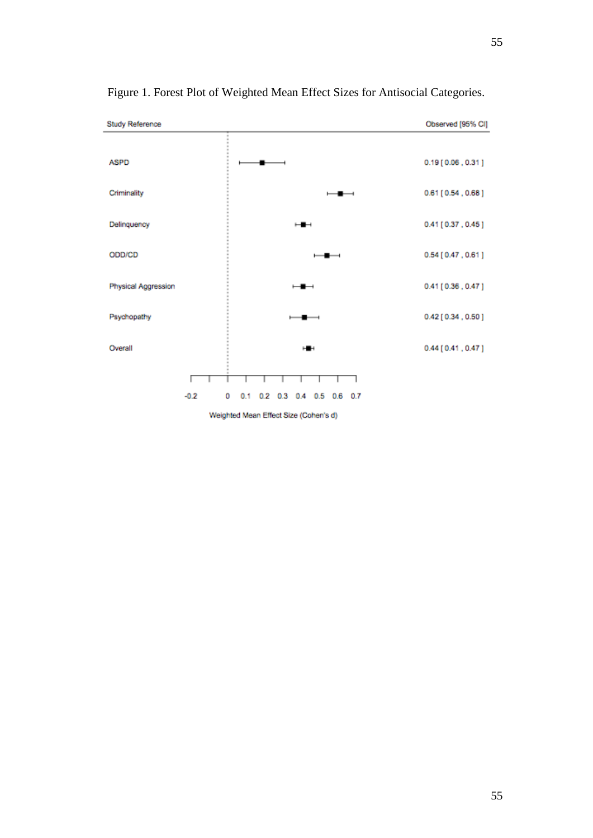

Figure 1. Forest Plot of Weighted Mean Effect Sizes for Antisocial Categories.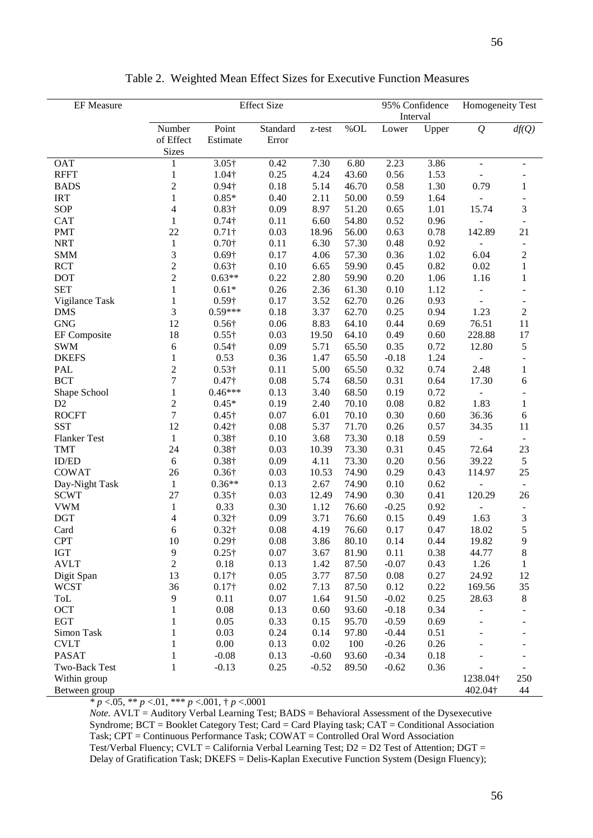| <b>EF</b> Measure   | <b>Effect Size</b> |               |          |         |       |          | 95% Confidence | Homogeneity Test             |                          |
|---------------------|--------------------|---------------|----------|---------|-------|----------|----------------|------------------------------|--------------------------|
|                     |                    |               |          |         |       | Interval |                |                              |                          |
|                     | Number             | Point         | Standard | z-test  | %OL   | Lower    | Upper          | $\mathcal{Q}$                | df(Q)                    |
|                     | of Effect          | Estimate      | Error    |         |       |          |                |                              |                          |
|                     | Sizes              |               |          |         |       |          |                |                              |                          |
| <b>OAT</b>          | 1                  | $3.05\dagger$ | 0.42     | 7.30    | 6.80  | 2.23     | 3.86           | $\blacksquare$               | $\sim$                   |
| <b>RFFT</b>         | $\mathbf 1$        | $1.04\dagger$ | 0.25     | 4.24    | 43.60 | 0.56     | 1.53           |                              |                          |
| <b>BADS</b>         | $\overline{c}$     | $0.94\dagger$ | 0.18     | 5.14    | 46.70 | 0.58     | 1.30           | 0.79                         | $\mathbf{1}$             |
| <b>IRT</b>          | 1                  | $0.85*$       | 0.40     | 2.11    | 50.00 | 0.59     | 1.64           | $\blacksquare$               |                          |
| SOP                 | 4                  | $0.83\dagger$ | 0.09     | 8.97    | 51.20 | 0.65     | 1.01           | 15.74                        | 3                        |
| <b>CAT</b>          | $\mathbf{1}$       | $0.74\dagger$ | 0.11     | 6.60    | 54.80 | 0.52     | 0.96           | $\frac{1}{2}$                | $\blacksquare$           |
| <b>PMT</b>          | 22                 | $0.71\dagger$ | 0.03     | 18.96   | 56.00 | 0.63     | 0.78           | 142.89                       | 21                       |
| <b>NRT</b>          | $\mathbf{1}$       | $0.70\dagger$ | 0.11     | 6.30    | 57.30 | 0.48     | 0.92           | $\overline{\phantom{a}}$     | $\overline{\phantom{a}}$ |
| <b>SMM</b>          | 3                  | $0.69\dagger$ | 0.17     | 4.06    | 57.30 | 0.36     | 1.02           | 6.04                         | $\boldsymbol{2}$         |
| <b>RCT</b>          | $\overline{2}$     | $0.63\dagger$ | 0.10     | 6.65    | 59.90 | 0.45     | 0.82           | 0.02                         | $\mathbf{1}$             |
| <b>DOT</b>          | $\overline{2}$     | $0.63**$      | 0.22     | 2.80    | 59.90 | 0.20     | 1.06           | 1.16                         | $\mathbf{1}$             |
| <b>SET</b>          | $\mathbf{1}$       | $0.61*$       | 0.26     | 2.36    | 61.30 | 0.10     | 1.12           |                              |                          |
| Vigilance Task      | $\mathbf{1}$       | $0.59\dagger$ | 0.17     | 3.52    | 62.70 | 0.26     | 0.93           | $\overline{\phantom{a}}$     | $\overline{\phantom{a}}$ |
| <b>DMS</b>          | $\mathfrak{Z}$     | $0.59***$     | 0.18     | 3.37    | 62.70 | 0.25     | 0.94           | 1.23                         | $\sqrt{2}$               |
| <b>GNG</b>          | 12                 | $0.56\dagger$ | 0.06     | 8.83    | 64.10 | 0.44     | 0.69           | 76.51                        | 11                       |
| EF Composite        | 18                 | $0.55\dagger$ | 0.03     | 19.50   | 64.10 | 0.49     | 0.60           | 228.88                       | 17                       |
| <b>SWM</b>          | 6                  | $0.54\dagger$ | 0.09     | 5.71    | 65.50 | 0.35     | 0.72           | 12.80                        | 5                        |
| <b>DKEFS</b>        | 1                  | 0.53          | 0.36     | 1.47    | 65.50 | $-0.18$  | 1.24           | ÷,                           | $\blacksquare$           |
| <b>PAL</b>          | $\overline{2}$     | $0.53\dagger$ | 0.11     | 5.00    | 65.50 | 0.32     | 0.74           | 2.48                         | $\mathbf{1}$             |
| <b>BCT</b>          | $\overline{7}$     | $0.47\dagger$ | 0.08     | 5.74    | 68.50 | 0.31     | 0.64           | 17.30                        | 6                        |
| Shape School        | $\mathbf{1}$       | $0.46***$     | 0.13     | 3.40    | 68.50 | 0.19     | 0.72           |                              |                          |
| D <sub>2</sub>      | $\sqrt{2}$         | $0.45*$       | 0.19     | 2.40    | 70.10 | 0.08     | 0.82           | 1.83                         | $\mathbf{1}$             |
| <b>ROCFT</b>        | $\overline{7}$     | $0.45\dagger$ | 0.07     | 6.01    | 70.10 | 0.30     | 0.60           | 36.36                        | 6                        |
| <b>SST</b>          | 12                 |               |          |         | 71.70 |          |                |                              |                          |
|                     |                    | $0.42\dagger$ | 0.08     | 5.37    |       | 0.26     | 0.57           | 34.35                        | 11                       |
| <b>Flanker Test</b> | $\mathbf{1}$       | $0.38\dagger$ | 0.10     | 3.68    | 73.30 | 0.18     | 0.59           | $\overline{a}$               |                          |
| <b>TMT</b>          | 24                 | $0.38\dagger$ | 0.03     | 10.39   | 73.30 | 0.31     | 0.45           | 72.64                        | 23                       |
| <b>ID/ED</b>        | $\sqrt{6}$         | $0.38\dagger$ | 0.09     | 4.11    | 73.30 | 0.20     | 0.56           | 39.22                        | 5                        |
| <b>COWAT</b>        | 26                 | $0.36\dagger$ | 0.03     | 10.53   | 74.90 | 0.29     | 0.43           | 114.97                       | 25                       |
| Day-Night Task      | $\mathbf{1}$       | $0.36**$      | 0.13     | 2.67    | 74.90 | 0.10     | 0.62           | $\blacksquare$               |                          |
| <b>SCWT</b>         | 27                 | $0.35\dagger$ | 0.03     | 12.49   | 74.90 | 0.30     | 0.41           | 120.29                       | 26                       |
| <b>VWM</b>          | $\mathbf{1}$       | 0.33          | 0.30     | 1.12    | 76.60 | $-0.25$  | 0.92           | $\qquad \qquad \blacksquare$ | $\blacksquare$           |
| <b>DGT</b>          | 4                  | $0.32\dagger$ | 0.09     | 3.71    | 76.60 | 0.15     | 0.49           | 1.63                         | 3                        |
| Card                | 6                  | $0.32\dagger$ | 0.08     | 4.19    | 76.60 | 0.17     | 0.47           | 18.02                        | 5                        |
| <b>CPT</b>          | $10\,$             | $0.29\dagger$ | 0.08     | 3.86    | 80.10 | 0.14     | 0.44           | 19.82                        | 9                        |
| <b>IGT</b>          | $\overline{9}$     | $0.25\dagger$ | 0.07     | 3.67    | 81.90 | 0.11     | 0.38           | 44.77                        | 8                        |
| <b>AVLT</b>         | $\sqrt{2}$         | 0.18          | 0.13     | 1.42    | 87.50 | $-0.07$  | 0.43           | 1.26                         | $\mathbf{1}$             |
| Digit Span          | 13                 | $0.17\dagger$ | 0.05     | 3.77    | 87.50 | 0.08     | 0.27           | 24.92                        | 12                       |
| <b>WCST</b>         | 36                 | $0.17\dagger$ | 0.02     | 7.13    | 87.50 | 0.12     | 0.22           | 169.56                       | 35                       |
| ToL                 | 9                  | 0.11          | 0.07     | 1.64    | 91.50 | $-0.02$  | 0.25           | 28.63                        | 8                        |
| OCT                 | $\mathbf{1}$       | 0.08          | 0.13     | 0.60    | 93.60 | $-0.18$  | 0.34           | $\overline{a}$               |                          |
| <b>EGT</b>          | 1                  | 0.05          | 0.33     | 0.15    | 95.70 | $-0.59$  | 0.69           |                              |                          |
| Simon Task          | 1                  | 0.03          | 0.24     | 0.14    | 97.80 | $-0.44$  | 0.51           |                              |                          |
| <b>CVLT</b>         | 1                  | 0.00          | 0.13     | 0.02    | 100   | $-0.26$  | 0.26           |                              |                          |
| <b>PASAT</b>        | 1                  | $-0.08$       | 0.13     | $-0.60$ | 93.60 | $-0.34$  | 0.18           |                              |                          |
| Two-Back Test       | 1                  | $-0.13$       | 0.25     | $-0.52$ | 89.50 | $-0.62$  | 0.36           |                              |                          |
| Within group        |                    |               |          |         |       |          |                | 1238.04†                     | 250                      |
| Between group       |                    |               |          |         |       |          |                | 402.04†                      | 44                       |

Table 2. Weighted Mean Effect Sizes for Executive Function Measures

*\* p* <.05, \*\* *p* <.01, \*\*\* *p* <.001, † *p* <.0001

*Note.* AVLT = Auditory Verbal Learning Test; BADS = Behavioral Assessment of the Dysexecutive Syndrome; BCT = Booklet Category Test; Card = Card Playing task; CAT = Conditional Association Task; CPT = Continuous Performance Task; COWAT = Controlled Oral Word Association Test/Verbal Fluency; CVLT = California Verbal Learning Test; D2 = D2 Test of Attention; DGT = Delay of Gratification Task; DKEFS = Delis-Kaplan Executive Function System (Design Fluency);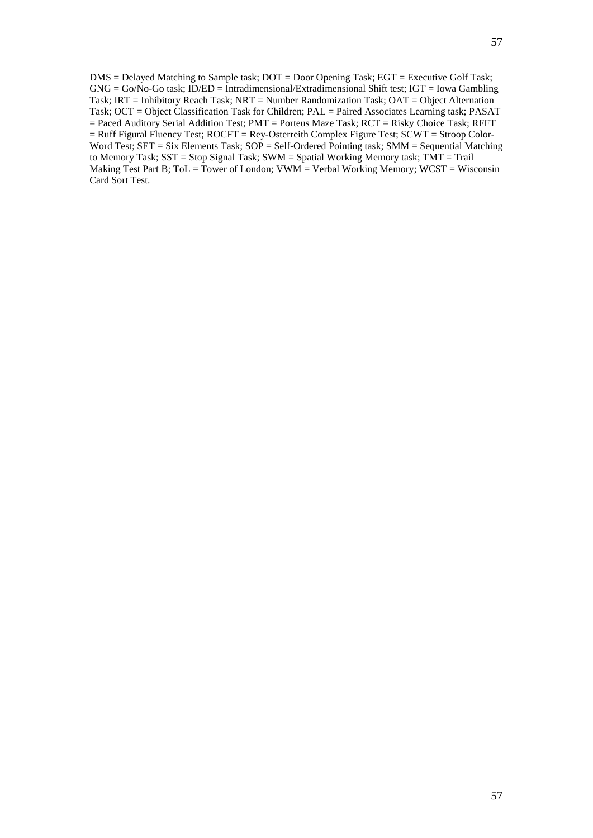DMS = Delayed Matching to Sample task; DOT = Door Opening Task; EGT = Executive Golf Task; GNG = Go/No-Go task; ID/ED = Intradimensional/Extradimensional Shift test; IGT = Iowa Gambling Task; IRT = Inhibitory Reach Task; NRT = Number Randomization Task; OAT = Object Alternation Task; OCT = Object Classification Task for Children; PAL = Paired Associates Learning task; PASAT = Paced Auditory Serial Addition Test; PMT = Porteus Maze Task; RCT = Risky Choice Task; RFFT = Ruff Figural Fluency Test; ROCFT = Rey-Osterreith Complex Figure Test; SCWT = Stroop Color-Word Test; SET = Six Elements Task; SOP = Self-Ordered Pointing task; SMM = Sequential Matching to Memory Task; SST = Stop Signal Task; SWM = Spatial Working Memory task; TMT = Trail Making Test Part B;  $Tol = Tower$  of London;  $VWM = Verbal Working Memory$ ;  $WCST = Wisconsin$ Card Sort Test.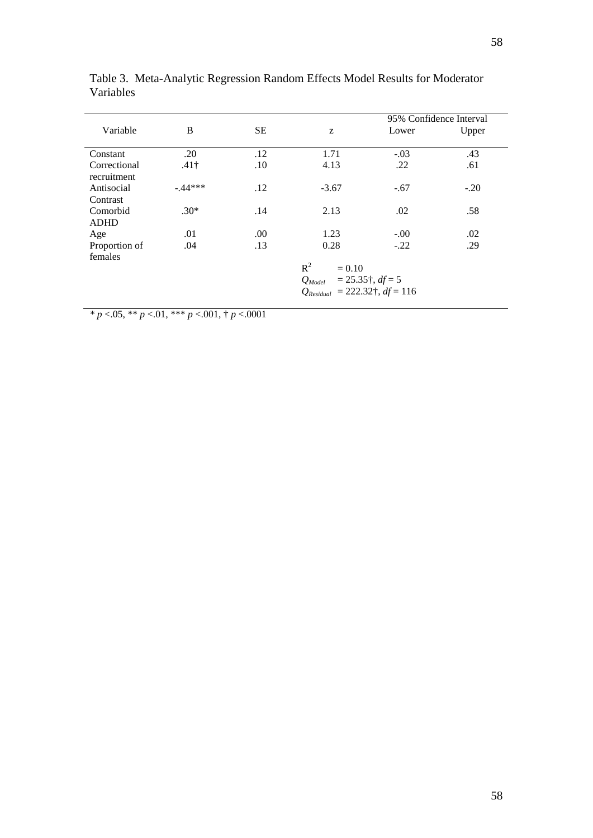|               |              |           |                                      | 95% Confidence Interval |        |  |  |  |  |  |
|---------------|--------------|-----------|--------------------------------------|-------------------------|--------|--|--|--|--|--|
| Variable      | B            | <b>SE</b> | Z                                    | Lower                   | Upper  |  |  |  |  |  |
|               |              |           |                                      |                         |        |  |  |  |  |  |
| Constant      | .20          | .12       | 1.71                                 | $-.03$                  | .43    |  |  |  |  |  |
| Correctional  | $.41\dagger$ | .10       | 4.13                                 | .22                     | .61    |  |  |  |  |  |
| recruitment   |              |           |                                      |                         |        |  |  |  |  |  |
| Antisocial    | $-44***$     | .12       | $-3.67$                              | $-.67$                  | $-.20$ |  |  |  |  |  |
| Contrast      |              |           |                                      |                         |        |  |  |  |  |  |
| Comorbid      | $.30*$       | .14       | 2.13                                 | .02                     | .58    |  |  |  |  |  |
| <b>ADHD</b>   |              |           |                                      |                         |        |  |  |  |  |  |
| Age           | .01          | .00.      | 1.23                                 | $-.00$                  | .02    |  |  |  |  |  |
| Proportion of | .04          | .13       | 0.28                                 | $-.22$                  | .29    |  |  |  |  |  |
| females       |              |           |                                      |                         |        |  |  |  |  |  |
|               |              |           | $R^2$<br>$= 0.10$                    |                         |        |  |  |  |  |  |
|               |              |           | $Q_{Model}$ = 25.35†, $df = 5$       |                         |        |  |  |  |  |  |
|               |              |           | $Q_{Residual}$ = 222.32†, $df = 116$ |                         |        |  |  |  |  |  |
|               |              |           |                                      |                         |        |  |  |  |  |  |

Table 3. Meta-Analytic Regression Random Effects Model Results for Moderator Variables

*\* p* <.05, \*\* *p* <.01, \*\*\* *p* <.001, † *p* <.0001